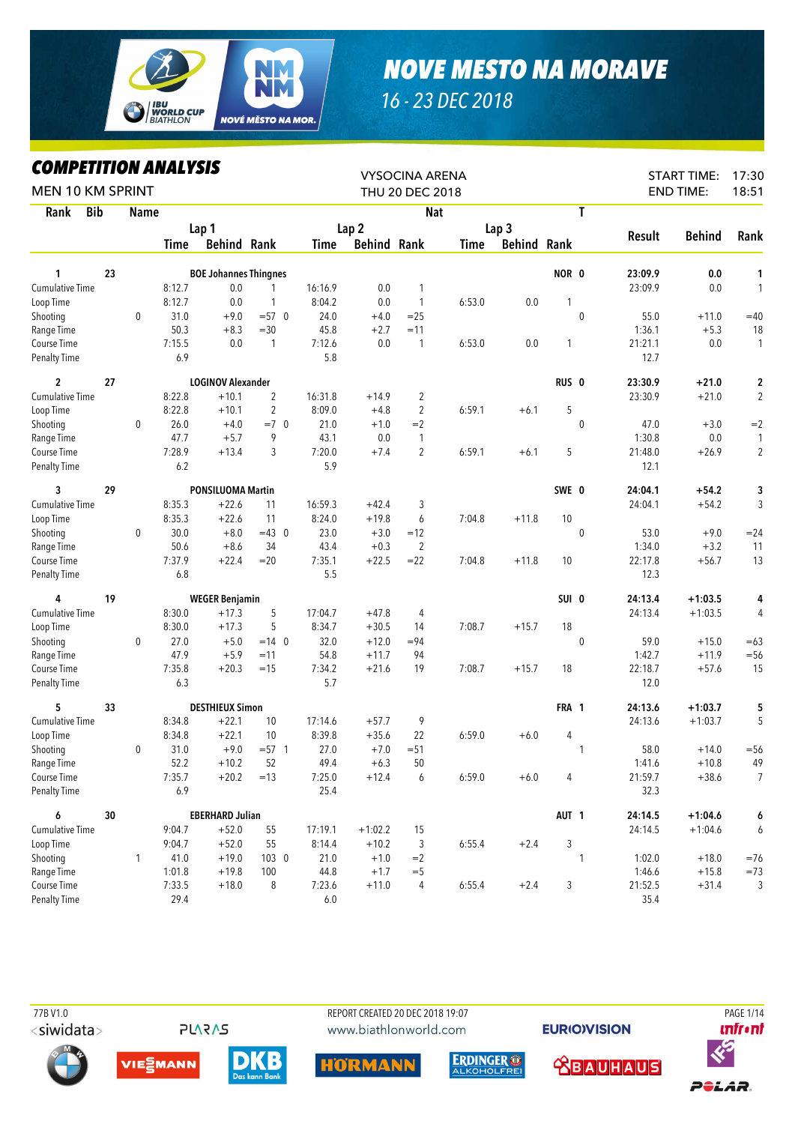

## *NOVE MESTO NA MORAVE*

## *16 - 23 DEC 2018*

## *COMPETITION ANALYSIS*

| LVMITEIIIIVN ANALIƏIƏ<br><b>MEN 10 KM SPRINT</b> |    |              |        |                              |                |         |                    | <b>VYSOCINA ARENA</b><br>THU 20 DEC 2018 |             |                    |                  |              |               | <b>START TIME:</b><br><b>END TIME:</b> | 17:30<br>18:51 |
|--------------------------------------------------|----|--------------|--------|------------------------------|----------------|---------|--------------------|------------------------------------------|-------------|--------------------|------------------|--------------|---------------|----------------------------------------|----------------|
|                                                  |    |              |        |                              |                |         |                    |                                          |             |                    |                  |              |               |                                        |                |
| <b>Bib</b><br>Rank                               |    | <b>Name</b>  |        |                              |                |         |                    | <b>Nat</b>                               |             |                    |                  | T            |               |                                        |                |
|                                                  |    |              |        | Lap 1                        |                |         | Lap <sub>2</sub>   |                                          |             | Lap <sub>3</sub>   |                  |              | <b>Result</b> | <b>Behind</b>                          | Rank           |
|                                                  |    |              | Time   | <b>Behind Rank</b>           |                | Time    | <b>Behind Rank</b> |                                          | <b>Time</b> | <b>Behind Rank</b> |                  |              |               |                                        |                |
| 1                                                | 23 |              |        | <b>BOE Johannes Thingnes</b> |                |         |                    |                                          |             |                    | NOR 0            |              | 23:09.9       | 0.0                                    | 1              |
| Cumulative Time                                  |    |              | 8:12.7 | 0.0                          |                | 16:16.9 | 0.0                | 1                                        |             |                    |                  |              | 23:09.9       | 0.0                                    | $\mathbf{1}$   |
| Loop Time                                        |    |              | 8:12.7 | 0.0                          | 1              | 8:04.2  | 0.0                | $\mathbf{1}$                             | 6:53.0      | 0.0                | 1                |              |               |                                        |                |
| Shooting                                         |    | $\mathbf 0$  | 31.0   | $+9.0$                       | $= 570$        | 24.0    | $+4.0$             | $=25$                                    |             |                    |                  | $\mathbf{0}$ | 55.0          | $+11.0$                                | $=40$          |
| Range Time                                       |    |              | 50.3   | $+8.3$                       | $=30$          | 45.8    | $+2.7$             | $=11$                                    |             |                    |                  |              | 1:36.1        | $+5.3$                                 | 18             |
| Course Time                                      |    |              | 7:15.5 | 0.0                          | $\mathbf{1}$   | 7:12.6  | 0.0                | $\mathbf{1}$                             | 6:53.0      | 0.0                | 1                |              | 21:21.1       | $0.0\,$                                | $\mathbf{1}$   |
| Penalty Time                                     |    |              | 6.9    |                              |                | 5.8     |                    |                                          |             |                    |                  |              | 12.7          |                                        |                |
| $\overline{c}$                                   | 27 |              |        | <b>LOGINOV Alexander</b>     |                |         |                    |                                          |             |                    | RUS <sub>0</sub> |              | 23:30.9       | $+21.0$                                | 2              |
| Cumulative Time                                  |    |              | 8:22.8 | $+10.1$                      | $\overline{2}$ | 16:31.8 | $+14.9$            | $\overline{2}$                           |             |                    |                  |              | 23:30.9       | $+21.0$                                | $\overline{2}$ |
| Loop Time                                        |    |              | 8:22.8 | $+10.1$                      | $\overline{2}$ | 8:09.0  | $+4.8$             | 2                                        | 6:59.1      | $+6.1$             | 5                |              |               |                                        |                |
| Shooting                                         |    | 0            | 26.0   | $+4.0$                       | $=7.0$         | 21.0    | $+1.0$             | $=2$                                     |             |                    |                  | $\mathbf 0$  | 47.0          | $+3.0$                                 | $=2$           |
| Range Time                                       |    |              | 47.7   | $+5.7$                       | 9              | 43.1    | 0.0                | $\mathbf{1}$                             |             |                    |                  |              | 1:30.8        | 0.0                                    | 1              |
| Course Time                                      |    |              | 7:28.9 | $+13.4$                      | 3              | 7:20.0  | $+7.4$             | $\overline{2}$                           | 6:59.1      | $+6.1$             | 5                |              | 21:48.0       | $+26.9$                                | $\overline{2}$ |
| Penalty Time                                     |    |              | 6.2    |                              |                | 5.9     |                    |                                          |             |                    |                  |              | 12.1          |                                        |                |
| 3                                                | 29 |              |        | <b>PONSILUOMA Martin</b>     |                |         |                    |                                          |             |                    | SWE 0            |              | 24:04.1       | $+54.2$                                | 3              |
| <b>Cumulative Time</b>                           |    |              | 8:35.3 | $+22.6$                      | 11             | 16:59.3 | $+42.4$            | 3                                        |             |                    |                  |              | 24:04.1       | $+54.2$                                | 3              |
| Loop Time                                        |    |              | 8:35.3 | $+22.6$                      | 11             | 8:24.0  | $+19.8$            | 6                                        | 7:04.8      | $+11.8$            | 10               |              |               |                                        |                |
| Shooting                                         |    | 0            | 30.0   | $+8.0$                       | $=43$ 0        | 23.0    | $+3.0$             | $=12$                                    |             |                    |                  | $\mathbf 0$  | 53.0          | $+9.0$                                 | $= 24$         |
| Range Time                                       |    |              | 50.6   | $+8.6$                       | 34             | 43.4    | $+0.3$             | $\overline{2}$                           |             |                    |                  |              | 1:34.0        | $+3.2$                                 | 11             |
| Course Time                                      |    |              | 7:37.9 | $+22.4$                      | $=20$          | 7:35.1  | $+22.5$            | $= 22$                                   | 7:04.8      | $+11.8$            | 10               |              | 22:17.8       | $+56.7$                                | 13             |
| <b>Penalty Time</b>                              |    |              | 6.8    |                              |                | 5.5     |                    |                                          |             |                    |                  |              | 12.3          |                                        |                |
| 4                                                | 19 |              |        | <b>WEGER Benjamin</b>        |                |         |                    |                                          |             |                    | SUI 0            |              | 24:13.4       | $+1:03.5$                              | 4              |
| Cumulative Time                                  |    |              | 8:30.0 | $+17.3$                      | 5              | 17:04.7 | $+47.8$            | 4                                        |             |                    |                  |              | 24:13.4       | $+1:03.5$                              | 4              |
| Loop Time                                        |    |              | 8:30.0 | $+17.3$                      | 5              | 8:34.7  | $+30.5$            | 14                                       | 7:08.7      | $+15.7$            | 18               |              |               |                                        |                |
| Shooting                                         |    | 0            | 27.0   | $+5.0$                       | $=14$ 0        | 32.0    | $+12.0$            | $= 94$                                   |             |                    |                  | $\mathbf{0}$ | 59.0          | $+15.0$                                | $=63$          |
| Range Time                                       |    |              | 47.9   | $+5.9$                       | $=11$          | 54.8    | $+11.7$            | 94                                       |             |                    |                  |              | 1:42.7        | $+11.9$                                | $= 56$         |
| Course Time                                      |    |              | 7:35.8 | $+20.3$                      | $=15$          | 7:34.2  | $+21.6$            | 19                                       | 7:08.7      | $+15.7$            | 18               |              | 22:18.7       | $+57.6$                                | 15             |
| <b>Penalty Time</b>                              |    |              | 6.3    |                              |                | 5.7     |                    |                                          |             |                    |                  |              | 12.0          |                                        |                |
| 5                                                | 33 |              |        | <b>DESTHIEUX Simon</b>       |                |         |                    |                                          |             |                    | FRA 1            |              | 24:13.6       | $+1:03.7$                              | 5              |
| Cumulative Time                                  |    |              | 8:34.8 | $+22.1$                      | 10             | 17:14.6 | $+57.7$            | 9                                        |             |                    |                  |              | 24:13.6       | $+1:03.7$                              | 5              |
| Loop Time                                        |    |              | 8:34.8 | $+22.1$                      | 10             | 8:39.8  | $+35.6$            | 22                                       | 6:59.0      | $+6.0$             | 4                |              |               |                                        |                |
| Shooting                                         |    | $\mathbf 0$  | 31.0   | $+9.0$                       | $= 57$ 1       | 27.0    | $+7.0$             | $= 51$                                   |             |                    |                  | 1            | 58.0          | $+14.0$                                | $= 56$         |
| Range Time                                       |    |              | 52.2   | $+10.2$                      | 52             | 49.4    | $+6.3$             | 50                                       |             |                    |                  |              | 1:41.6        | $+10.8$                                | 49             |
| Course Time                                      |    |              | 7:35.7 | $+20.2$                      | $=13$          | 7:25.0  | $+12.4$            | 6                                        | 6:59.0      | $+6.0$             | 4                |              | 21:59.7       | $+38.6$                                | $\overline{7}$ |
| Penalty Time                                     |    |              | 6.9    |                              |                | 25.4    |                    |                                          |             |                    |                  |              | 32.3          |                                        |                |
| 6                                                | 30 |              |        | <b>EBERHARD Julian</b>       |                |         |                    |                                          |             |                    | AUT <sub>1</sub> |              | 24:14.5       | $+1:04.6$                              | 6              |
| Cumulative Time                                  |    |              | 9:04.7 | $+52.0$                      | 55             | 17:19.1 | $+1:02.2$          | 15                                       |             |                    |                  |              | 24:14.5       | $+1:04.6$                              | 6              |
| Loop Time                                        |    |              | 9:04.7 | $+52.0$                      | 55             | 8:14.4  | $+10.2$            | 3                                        | 6:55.4      | $+2.4$             | 3                |              |               |                                        |                |
| Shooting                                         |    | $\mathbf{1}$ | 41.0   | $+19.0$                      | $103 \quad 0$  | 21.0    | $+1.0$             | $=2$                                     |             |                    |                  | 1            | 1:02.0        | $+18.0$                                | $= 76$         |
| Range Time                                       |    |              | 1:01.8 | $+19.8$                      | 100            | 44.8    | $+1.7$             | $=$ 5                                    |             |                    |                  |              | 1:46.6        | $+15.8$                                | $=73$          |
| Course Time                                      |    |              | 7:33.5 | $+18.0$                      | 8              | 7:23.6  | $+11.0$            | 4                                        | 6:55.4      | $+2.4$             | 3                |              | 21:52.5       | $+31.4$                                | 3              |
| Penalty Time                                     |    |              | 29.4   |                              |                | 6.0     |                    |                                          |             |                    |                  |              | 35.4          |                                        |                |

<siwidata>

**PLARAS** 

er and the PORT CREATED 20 DEC 2018 19:07 PAGE 1/14 PAGE 1/14 www.biathlonworld.com

**EURIOVISION** 













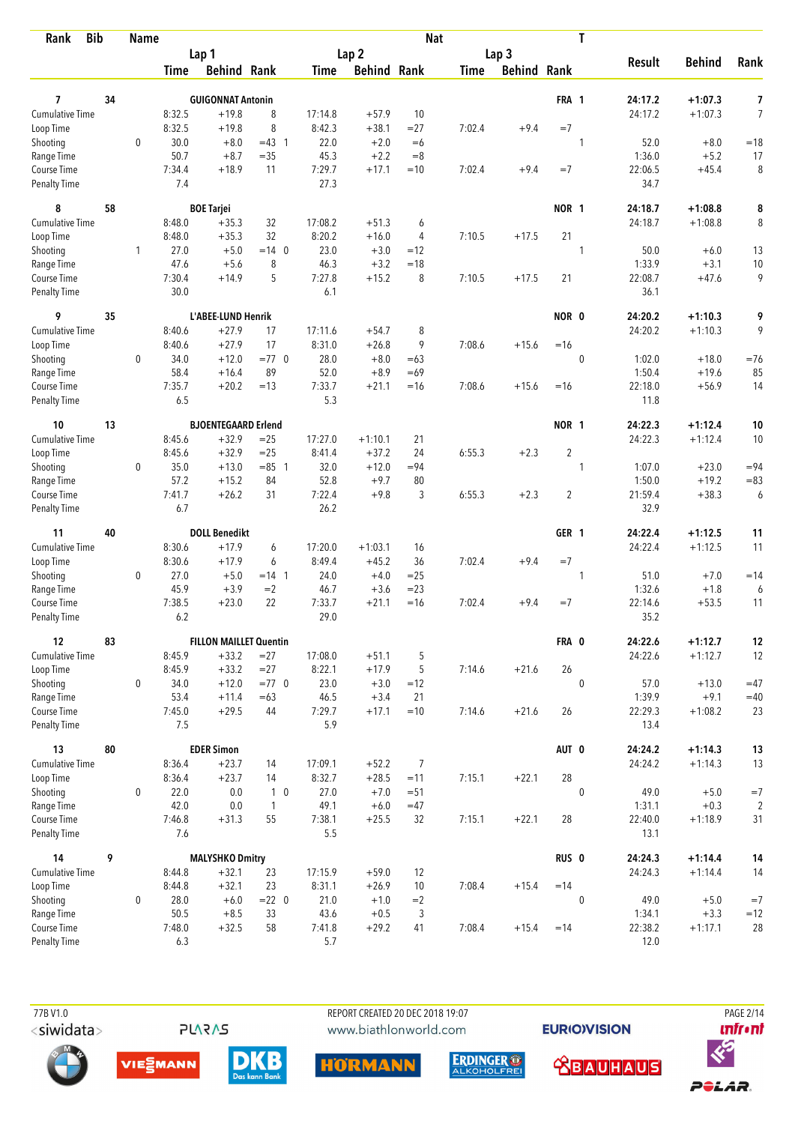| <b>Bib</b><br>Rank                 |    | <b>Name</b>  |                |                               |                    |                |                    | <b>Nat</b>     |             |                    |                  | T            |                 |               |                |
|------------------------------------|----|--------------|----------------|-------------------------------|--------------------|----------------|--------------------|----------------|-------------|--------------------|------------------|--------------|-----------------|---------------|----------------|
|                                    |    |              |                | Lap 1                         |                    |                | Lap <sub>2</sub>   |                |             | Lap 3              |                  |              |                 |               |                |
|                                    |    |              | Time           | <b>Behind Rank</b>            |                    | Time           | <b>Behind Rank</b> |                | <b>Time</b> | <b>Behind Rank</b> |                  |              | <b>Result</b>   | <b>Behind</b> | Rank           |
|                                    |    |              |                |                               |                    |                |                    |                |             |                    |                  |              |                 |               |                |
| 7                                  | 34 |              |                | <b>GUIGONNAT Antonin</b>      |                    |                |                    |                |             |                    | FRA 1            |              | 24:17.2         | $+1:07.3$     | 7              |
| <b>Cumulative Time</b>             |    |              | 8:32.5         | $+19.8$                       | 8                  | 17:14.8        | $+57.9$            | 10             |             |                    |                  |              | 24:17.2         | $+1:07.3$     | $\overline{7}$ |
| Loop Time                          |    |              | 8:32.5         | $+19.8$                       | 8                  | 8:42.3         | $+38.1$            | $= 27$         | 7:02.4      | $+9.4$             | $=7$             |              |                 |               |                |
| Shooting                           |    | $\mathbf 0$  | 30.0           | $+8.0$                        | $=43$ 1            | 22.0           | $+2.0$             | $=6$           |             |                    |                  | 1            | 52.0            | $+8.0$        | $=18$          |
| Range Time                         |    |              | 50.7           | $+8.7$                        | $= 35$             | 45.3           | $+2.2$             | $=8$           |             |                    | $=7$             |              | 1:36.0          | $+5.2$        | 17             |
| Course Time<br><b>Penalty Time</b> |    |              | 7:34.4<br>7.4  | $+18.9$                       | 11                 | 7:29.7<br>27.3 | $+17.1$            | $=10$          | 7:02.4      | $+9.4$             |                  |              | 22:06.5<br>34.7 | $+45.4$       | 8              |
| 8                                  | 58 |              |                | <b>BOE Tarjei</b>             |                    |                |                    |                |             |                    | NOR 1            |              | 24:18.7         | $+1:08.8$     | 8              |
| Cumulative Time                    |    |              | 8:48.0         | $+35.3$                       | 32                 | 17:08.2        | $+51.3$            | 6              |             |                    |                  |              | 24:18.7         | $+1:08.8$     | 8              |
| Loop Time                          |    |              | 8:48.0         | $+35.3$                       | 32                 | 8:20.2         | $+16.0$            | 4              | 7:10.5      | $+17.5$            | 21               |              |                 |               |                |
| Shooting                           |    | $\mathbf{1}$ | 27.0           | $+5.0$                        | $=14$ 0            | 23.0           | $+3.0$             | $=12$          |             |                    |                  | 1            | 50.0            | $+6.0$        | 13             |
| Range Time                         |    |              | 47.6           | $+5.6$                        | 8                  | 46.3           | $+3.2$             | $=18$          |             |                    |                  |              | 1:33.9          | $+3.1$        | 10             |
| Course Time                        |    |              | 7:30.4         | $+14.9$                       | 5                  | 7:27.8         | $+15.2$            | 8              | 7:10.5      | $+17.5$            | 21               |              | 22:08.7         | $+47.6$       | 9              |
| <b>Penalty Time</b>                |    |              | 30.0           |                               |                    | 6.1            |                    |                |             |                    |                  |              | 36.1            |               |                |
| 9                                  | 35 |              |                | L'ABEE-LUND Henrik            |                    |                |                    |                |             |                    | NOR 0            |              | 24:20.2         | $+1:10.3$     | 9              |
| Cumulative Time                    |    |              | 8:40.6         | $+27.9$                       | 17                 | 17:11.6        | $+54.7$            | 8              |             |                    |                  |              | 24:20.2         | $+1:10.3$     | 9              |
| Loop Time                          |    |              | 8:40.6         | $+27.9$                       | 17                 | 8:31.0         | $+26.8$            | 9              | 7:08.6      | $+15.6$            | $=16$            |              |                 |               |                |
| Shooting                           |    | $\mathbf 0$  | 34.0           | $+12.0$                       | $=77$ 0            | 28.0           | $+8.0$             | $=63$          |             |                    |                  | $\mathbf 0$  | 1:02.0          | $+18.0$       | $=76$          |
| Range Time                         |    |              | 58.4           | $+16.4$                       | 89                 | 52.0           | $+8.9$             | $=69$          |             |                    |                  |              | 1:50.4          | $+19.6$       | 85             |
| Course Time                        |    |              | 7:35.7         | $+20.2$                       | $=13$              | 7:33.7         | $+21.1$            | $=16$          | 7:08.6      | $+15.6$            | $=16$            |              | 22:18.0         | $+56.9$       | 14             |
| <b>Penalty Time</b>                |    |              | 6.5            |                               |                    | 5.3            |                    |                |             |                    |                  |              | 11.8            |               |                |
| 10                                 | 13 |              |                | <b>BJOENTEGAARD Erlend</b>    |                    |                |                    |                |             |                    | NOR 1            |              | 24:22.3         | $+1:12.4$     | 10             |
| <b>Cumulative Time</b>             |    |              | 8:45.6         | $+32.9$                       | $=25$              | 17:27.0        | $+1:10.1$          | 21             |             |                    |                  |              | 24:22.3         | $+1:12.4$     | 10             |
| Loop Time                          |    |              | 8:45.6         | $+32.9$                       | $=25$              | 8:41.4         | $+37.2$            | 24             | 6:55.3      | $+2.3$             | $\overline{2}$   |              |                 |               |                |
| Shooting                           |    | 0            | 35.0           | $+13.0$                       | $= 85$ 1           | 32.0           | $+12.0$            | $= 94$         |             |                    |                  | 1            | 1:07.0          | $+23.0$       | $= 94$         |
| Range Time                         |    |              | 57.2           | $+15.2$                       | 84                 | 52.8           | $+9.7$             | 80             |             |                    |                  |              | 1:50.0          | $+19.2$       | $= 83$         |
| Course Time                        |    |              | 7:41.7         | $+26.2$                       | 31                 | 7:22.4         | $+9.8$             | 3              | 6:55.3      | $+2.3$             | 2                |              | 21:59.4         | $+38.3$       | 6              |
| <b>Penalty Time</b>                |    |              | 6.7            |                               |                    | 26.2           |                    |                |             |                    |                  |              | 32.9            |               |                |
| 11                                 | 40 |              |                | <b>DOLL Benedikt</b>          |                    |                |                    |                |             |                    | GER 1            |              | 24:22.4         | $+1:12.5$     | 11             |
| <b>Cumulative Time</b>             |    |              | 8:30.6         | $+17.9$                       | 6                  | 17:20.0        | $+1:03.1$          | 16             |             |                    |                  |              | 24:22.4         | $+1:12.5$     | 11             |
| Loop Time                          |    |              | 8:30.6         | $+17.9$                       | 6                  | 8:49.4         | $+45.2$            | 36             | 7:02.4      | $+9.4$             | $=7$             |              |                 |               |                |
| Shooting                           |    | 0            | 27.0           | $+5.0$                        | $= 14 \quad 1$     | 24.0           | $+4.0$             | $=25$          |             |                    |                  | 1            | 51.0            | $+7.0$        | $=14$          |
| Range Time                         |    |              | 45.9           | $+3.9$                        | $=2$               | 46.7           | $+3.6$             | $= 23$         |             |                    |                  |              | 1:32.6          | $+1.8$        | 6              |
| Course Time                        |    |              | 7:38.5         | $+23.0$                       | 22                 | 7:33.7         | $+21.1$            | $=16$          | 7:02.4      | $+9.4$             | $=7$             |              | 22:14.6         | $+53.5$       | 11             |
| <b>Penalty Time</b>                |    |              | 6.2            |                               |                    | 29.0           |                    |                |             |                    |                  |              | 35.2            |               |                |
| 12                                 | 83 |              |                | <b>FILLON MAILLET Quentin</b> |                    |                |                    |                |             |                    | FRA 0            |              | 24:22.6         | $+1:12.7$     | 12             |
| Cumulative Time                    |    |              | 8:45.9         | $+33.2$                       | $= 27$             | 17:08.0        | $+51.1$            | 5              |             |                    |                  |              | 24:22.6         | $+1:12.7$     | 12             |
| Loop Time                          |    |              | 8:45.9         | $+33.2$                       | $= 27$             | 8:22.1         | $+17.9$            | 5              | 7:14.6      | $+21.6$            | 26               |              |                 |               |                |
| Shooting                           |    | 0            | 34.0           | $+12.0$                       | $=77$ 0            | 23.0           | $+3.0$             | $=12$          |             |                    |                  | $\mathbf{0}$ | 57.0            | $+13.0$       | $=47$          |
| Range Time                         |    |              | 53.4           | $+11.4$                       | $=63$              | 46.5           | $+3.4$             | 21             |             |                    |                  |              | 1:39.9          | $+9.1$        | $=40$          |
| Course Time<br>Penalty Time        |    |              | 7:45.0<br>7.5  | $+29.5$                       | 44                 | 7:29.7<br>5.9  | $+17.1$            | $=10$          | 7:14.6      | $+21.6$            | 26               |              | 22:29.3<br>13.4 | $+1:08.2$     | 23             |
|                                    |    |              |                |                               |                    |                |                    |                |             |                    |                  |              |                 |               |                |
| 13                                 | 80 |              |                | <b>EDER Simon</b>             |                    |                |                    |                |             |                    | AUT 0            |              | 24:24.2         | $+1:14.3$     | 13             |
| <b>Cumulative Time</b>             |    |              | 8:36.4         | $+23.7$                       | 14                 | 17:09.1        | $+52.2$            | $\overline{7}$ |             |                    |                  |              | 24:24.2         | $+1:14.3$     | 13             |
| Loop Time                          |    |              | 8:36.4         | $+23.7$                       | 14                 | 8:32.7         | $+28.5$            | $=11$          | 7:15.1      | $+22.1$            | 28               |              |                 |               |                |
| Shooting                           |    | 0            | 22.0           | 0.0                           | 1 <sub>0</sub>     | 27.0           | $+7.0$             | $=51$          |             |                    |                  | $\mathbf 0$  | 49.0            | $+5.0$        | $=7$           |
| Range Time<br>Course Time          |    |              | 42.0<br>7:46.8 | 0.0                           | $\mathbf{1}$<br>55 | 49.1           | $+6.0$             | $=47$          |             | $+22.1$            | 28               |              | 1:31.1          | $+0.3$        | $\overline{c}$ |
| Penalty Time                       |    |              | 7.6            | $+31.3$                       |                    | 7:38.1<br>5.5  | $+25.5$            | 32             | 7:15.1      |                    |                  |              | 22:40.0<br>13.1 | $+1:18.9$     | 31             |
| 14                                 | 9  |              |                | <b>MALYSHKO Dmitry</b>        |                    |                |                    |                |             |                    | RUS <sub>0</sub> |              | 24:24.3         | $+1:14.4$     | 14             |
| <b>Cumulative Time</b>             |    |              | 8:44.8         | $+32.1$                       | 23                 | 17:15.9        | $+59.0$            | 12             |             |                    |                  |              | 24:24.3         | $+1:14.4$     | 14             |
| Loop Time                          |    |              | 8:44.8         | $+32.1$                       | 23                 | 8:31.1         | $+26.9$            | 10             | 7:08.4      | $+15.4$            | $=14$            |              |                 |               |                |
| Shooting                           |    | $\mathbf 0$  | 28.0           | $+6.0$                        | $= 22 \ 0$         | 21.0           | $+1.0$             | $=2$           |             |                    |                  | $\mathbf 0$  | 49.0            | $+5.0$        | $=7$           |
| Range Time                         |    |              | 50.5           | $+8.5$                        | 33                 | 43.6           | $+0.5$             | 3              |             |                    |                  |              | 1:34.1          | $+3.3$        | $=12$          |
| Course Time                        |    |              | 7:48.0         | $+32.5$                       | 58                 | 7:41.8         | $+29.2$            | 41             | 7:08.4      | $+15.4$            | $=14$            |              | 22:38.2         | $+1:17.1$     | 28             |
| <b>Penalty Time</b>                |    |              | 6.3            |                               |                    | 5.7            |                    |                |             |                    |                  |              | 12.0            |               |                |

REPORT CREATED 20 DEC 2018 19:07 www.biathlonworld.com

**EURIOVISION** 



**PLARAS** 











PAGE 2/14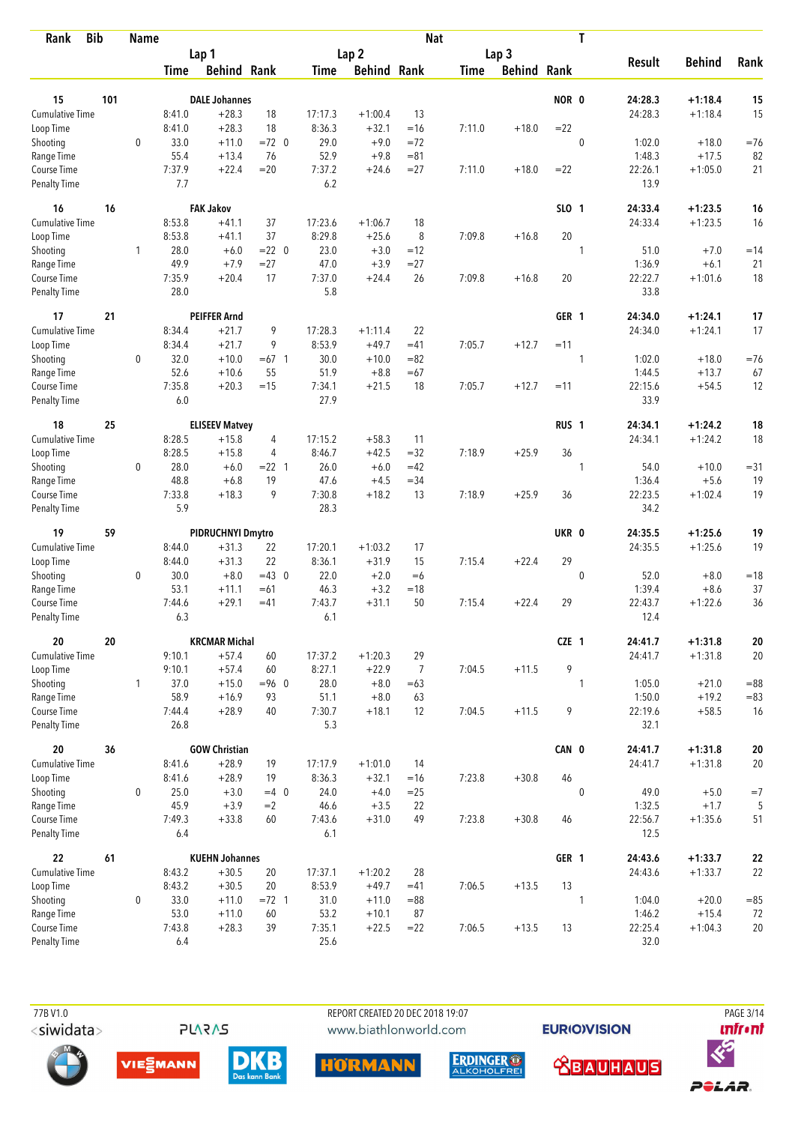| <b>Bib</b><br>Rank                 |     | <b>Name</b>  |               |                       |             |                |                    | <b>Nat</b>     |             |                    |                  | T           |                   |                    |              |
|------------------------------------|-----|--------------|---------------|-----------------------|-------------|----------------|--------------------|----------------|-------------|--------------------|------------------|-------------|-------------------|--------------------|--------------|
|                                    |     |              |               | Lap 1                 |             |                | Lap <sub>2</sub>   |                |             | Lap <sub>3</sub>   |                  |             |                   |                    |              |
|                                    |     |              | Time          | <b>Behind Rank</b>    |             | Time           | <b>Behind Rank</b> |                | <b>Time</b> | <b>Behind Rank</b> |                  |             | <b>Result</b>     | <b>Behind</b>      | Rank         |
| 15                                 | 101 |              |               | <b>DALE Johannes</b>  |             |                |                    |                |             |                    | NOR 0            |             | 24:28.3           | $+1:18.4$          | 15           |
| <b>Cumulative Time</b>             |     |              | 8:41.0        | $+28.3$               | 18          | 17:17.3        | $+1:00.4$          | 13             |             |                    |                  |             | 24:28.3           | $+1:18.4$          | 15           |
| Loop Time                          |     |              | 8:41.0        | $+28.3$               | 18          | 8:36.3         | $+32.1$            | $=16$          | 7:11.0      | $+18.0$            | $=22$            |             |                   |                    |              |
| Shooting                           |     | $\mathbf 0$  | 33.0          | $+11.0$               | $=72$ 0     | 29.0           | $+9.0$             | $=72$          |             |                    |                  | $\mathbf 0$ | 1:02.0            | $+18.0$            | $=76$        |
| Range Time                         |     |              | 55.4          | $+13.4$               | 76          | 52.9           | $+9.8$             | $= 81$         |             |                    |                  |             | 1:48.3            | $+17.5$            | 82           |
| Course Time                        |     |              | 7:37.9        | $+22.4$               | $=20$       | 7:37.2         | $+24.6$            | $= 27$         | 7:11.0      | $+18.0$            | $=22$            |             | 22:26.1           | $+1:05.0$          | 21           |
| <b>Penalty Time</b>                |     |              | 7.7           |                       |             | 6.2            |                    |                |             |                    |                  |             | 13.9              |                    |              |
| 16                                 | 16  |              |               | <b>FAK Jakov</b>      |             |                |                    |                |             |                    | SLO 1            |             | 24:33.4           | $+1:23.5$          | 16           |
| <b>Cumulative Time</b>             |     |              | 8:53.8        | $+41.1$               | 37          | 17:23.6        | $+1:06.7$          | 18             |             |                    |                  |             | 24:33.4           | $+1:23.5$          | 16           |
| Loop Time                          |     |              | 8:53.8        | $+41.1$               | 37          | 8:29.8         | $+25.6$            | 8              | 7:09.8      | $+16.8$            | 20               |             |                   |                    |              |
| Shooting                           |     | 1            | 28.0          | $+6.0$                | $= 22 \ 0$  | 23.0           | $+3.0$             | $=12$          |             |                    |                  | 1           | 51.0              | $+7.0$             | $=14$        |
| Range Time                         |     |              | 49.9          | $+7.9$                | $= 27$      | 47.0           | $+3.9$             | $= 27$         |             |                    |                  |             | 1:36.9            | $+6.1$             | 21           |
| Course Time                        |     |              | 7:35.9        | $+20.4$               | 17          | 7:37.0         | $+24.4$            | 26             | 7:09.8      | $+16.8$            | 20               |             | 22:22.7           | $+1:01.6$          | 18           |
| <b>Penalty Time</b>                |     |              | 28.0          |                       |             | 5.8            |                    |                |             |                    |                  |             | 33.8              |                    |              |
| 17                                 | 21  |              |               | <b>PEIFFER Arnd</b>   |             |                |                    |                |             |                    | GER 1            |             | 24:34.0           | $+1:24.1$          | 17           |
| <b>Cumulative Time</b>             |     |              | 8:34.4        | $+21.7$               | 9           | 17:28.3        | $+1:11.4$          | 22             |             |                    |                  |             | 24:34.0           | $+1:24.1$          | 17           |
| Loop Time                          |     |              | 8:34.4        | $+21.7$               | 9           | 8:53.9         | $+49.7$            | $=41$          | 7:05.7      | $+12.7$            | $=11$            |             |                   |                    |              |
| Shooting                           |     | 0            | 32.0          | $+10.0$               | $=67$ 1     | 30.0           | $+10.0$            | $= 82$         |             |                    |                  | 1           | 1:02.0            | $+18.0$            | $=76$        |
| Range Time                         |     |              | 52.6          | $+10.6$<br>$+20.3$    | 55<br>$=15$ | 51.9           | $+8.8$             | $=67$<br>18    |             | $+12.7$            |                  |             | 1:44.5            | $+13.7$<br>$+54.5$ | 67           |
| Course Time<br><b>Penalty Time</b> |     |              | 7:35.8<br>6.0 |                       |             | 7:34.1<br>27.9 | $+21.5$            |                | 7:05.7      |                    | $=11$            |             | 22:15.6<br>33.9   |                    | 12           |
| 18                                 | 25  |              |               | <b>ELISEEV Matvey</b> |             |                |                    |                |             |                    | RUS <sub>1</sub> |             | 24:34.1           | $+1:24.2$          | 18           |
| Cumulative Time                    |     |              | 8:28.5        | $+15.8$               | 4           | 17:15.2        | $+58.3$            | 11             |             |                    |                  |             | 24:34.1           | $+1:24.2$          | 18           |
| Loop Time                          |     |              | 8:28.5        | $+15.8$               | 4           | 8:46.7         | $+42.5$            | $=32$          | 7:18.9      | $+25.9$            | 36               |             |                   |                    |              |
| Shooting                           |     | 0            | 28.0          | $+6.0$                | $= 22$ 1    | 26.0           | $+6.0$             | $=42$          |             |                    |                  | 1           | 54.0              | $+10.0$            | $= 31$       |
| Range Time                         |     |              | 48.8          | $+6.8$                | 19          | 47.6           | $+4.5$             | $= 34$         |             |                    |                  |             | 1:36.4            | $+5.6$             | 19           |
| Course Time                        |     |              | 7:33.8        | $+18.3$               | 9           | 7:30.8         | $+18.2$            | 13             | 7:18.9      | $+25.9$            | 36               |             | 22:23.5           | $+1:02.4$          | 19           |
| <b>Penalty Time</b>                |     |              | 5.9           |                       |             | 28.3           |                    |                |             |                    |                  |             | 34.2              |                    |              |
| 19                                 | 59  |              |               | PIDRUCHNYI Dmytro     |             |                |                    |                |             |                    | UKR 0            |             | 24:35.5           | $+1:25.6$          | 19           |
| Cumulative Time                    |     |              | 8:44.0        | $+31.3$               | 22          | 17:20.1        | $+1:03.2$          | 17             |             |                    |                  |             | 24:35.5           | $+1:25.6$          | 19           |
| Loop Time                          |     |              | 8:44.0        | $+31.3$               | 22          | 8:36.1         | $+31.9$            | 15             | 7:15.4      | $+22.4$            | 29               |             |                   |                    |              |
| Shooting                           |     | 0            | 30.0          | $+8.0$                | $=43$ 0     | 22.0           | $+2.0$             | $=6$           |             |                    |                  | $\mathbf 0$ | 52.0              | $+8.0$             | $=18$        |
| Range Time                         |     |              | 53.1          | $+11.1$               | $=61$       | 46.3           | $+3.2$             | $=18$          |             |                    |                  |             | 1:39.4            | $+8.6$             | 37           |
| Course Time                        |     |              | 7:44.6        | $+29.1$               | $=41$       | 7:43.7         | $+31.1$            | 50             | 7:15.4      | $+22.4$            | 29               |             | 22:43.7           | $+1:22.6$          | 36           |
| <b>Penalty Time</b>                |     |              | 6.3           |                       |             | 6.1            |                    |                |             |                    |                  |             | 12.4              |                    |              |
| 20                                 | 20  |              |               | <b>KRCMAR Michal</b>  |             |                |                    |                |             |                    | CZE 1            |             | 24:41.7           | $+1:31.8$          | 20           |
| <b>Cumulative Time</b>             |     |              | 9:10.1        | $+57.4$               | 60          | 17:37.2        | $+1:20.3$          | 29             |             |                    |                  |             | 24:41.7           | $+1:31.8$          | 20           |
| Loop Time                          |     |              | 9:10.1        | $+57.4$               | 60          | 8:27.1         | $+22.9$            | $\overline{7}$ | 7:04.5      | $+11.5$            | 9                |             |                   |                    |              |
| Shooting<br>Range Time             |     | $\mathbf{1}$ | 37.0<br>58.9  | $+15.0$               | $= 96$ 0    | 28.0           | $+8.0$             | $=63$          |             |                    |                  | 1           | 1:05.0            | $+21.0$            | $= 88$       |
| Course Time                        |     |              | 7:44.4        | $+16.9$<br>$+28.9$    | 93<br>40    | 51.1<br>7:30.7 | $+8.0$<br>$+18.1$  | 63<br>12       | 7:04.5      | $+11.5$            | 9                |             | 1:50.0<br>22:19.6 | $+19.2$<br>$+58.5$ | $= 83$<br>16 |
| Penalty Time                       |     |              | 26.8          |                       |             | 5.3            |                    |                |             |                    |                  |             | 32.1              |                    |              |
| 20                                 | 36  |              |               | <b>GOW Christian</b>  |             |                |                    |                |             |                    | CAN 0            |             | 24:41.7           | $+1:31.8$          | 20           |
| <b>Cumulative Time</b>             |     |              | 8:41.6        | $+28.9$               | 19          | 17:17.9        | $+1:01.0$          | 14             |             |                    |                  |             | 24:41.7           | $+1:31.8$          | 20           |
| Loop Time                          |     |              | 8:41.6        | $+28.9$               | 19          | 8:36.3         | $+32.1$            | $=16$          | 7:23.8      | $+30.8$            | 46               |             |                   |                    |              |
| Shooting                           |     | 0            | 25.0          | $+3.0$                | $=4$ 0      | 24.0           | $+4.0$             | $=25$          |             |                    |                  | $\mathbf 0$ | 49.0              | $+5.0$             | $=7$         |
| Range Time                         |     |              | 45.9          | $+3.9$                | $=2$        | 46.6           | $+3.5$             | 22             |             |                    |                  |             | 1:32.5            | $+1.7$             | 5            |
| Course Time                        |     |              | 7:49.3        | $+33.8$               | 60          | 7:43.6         | $+31.0$            | 49             | 7:23.8      | $+30.8$            | 46               |             | 22:56.7           | $+1:35.6$          | 51           |
| Penalty Time                       |     |              | 6.4           |                       |             | 6.1            |                    |                |             |                    |                  |             | 12.5              |                    |              |
| 22                                 | 61  |              |               | <b>KUEHN Johannes</b> |             |                |                    |                |             |                    | GER 1            |             | 24:43.6           | $+1:33.7$          | 22           |
| <b>Cumulative Time</b>             |     |              | 8:43.2        | $+30.5$               | 20          | 17:37.1        | $+1:20.2$          | 28             |             |                    |                  |             | 24:43.6           | $+1:33.7$          | 22           |
| Loop Time                          |     |              | 8:43.2        | $+30.5$               | 20          | 8:53.9         | $+49.7$            | $=41$          | 7:06.5      | $+13.5$            | 13               |             |                   |                    |              |
| Shooting                           |     | 0            | 33.0          | $+11.0$               | $= 72$ 1    | 31.0           | $+11.0$            | $= 88$         |             |                    |                  | 1           | 1:04.0            | $+20.0$            | $= 85$       |
| Range Time                         |     |              | 53.0          | $+11.0$               | 60          | 53.2           | $+10.1$            | 87             |             |                    |                  |             | 1:46.2            | $+15.4$            | 72           |
| Course Time                        |     |              | 7:43.8        | $+28.3$               | 39          | 7:35.1         | $+22.5$            | $= 22$         | 7:06.5      | $+13.5$            | 13               |             | 22:25.4           | $+1:04.3$          | 20           |
| Penalty Time                       |     |              | 6.4           |                       |             | 25.6           |                    |                |             |                    |                  |             | 32.0              |                    |              |



REPORT CREATED 20 DEC 2018 19:07 www.biathlonworld.com

HÖRMANN



**EURIOVISION** 

**<u> XBAUHAUS</u>** 

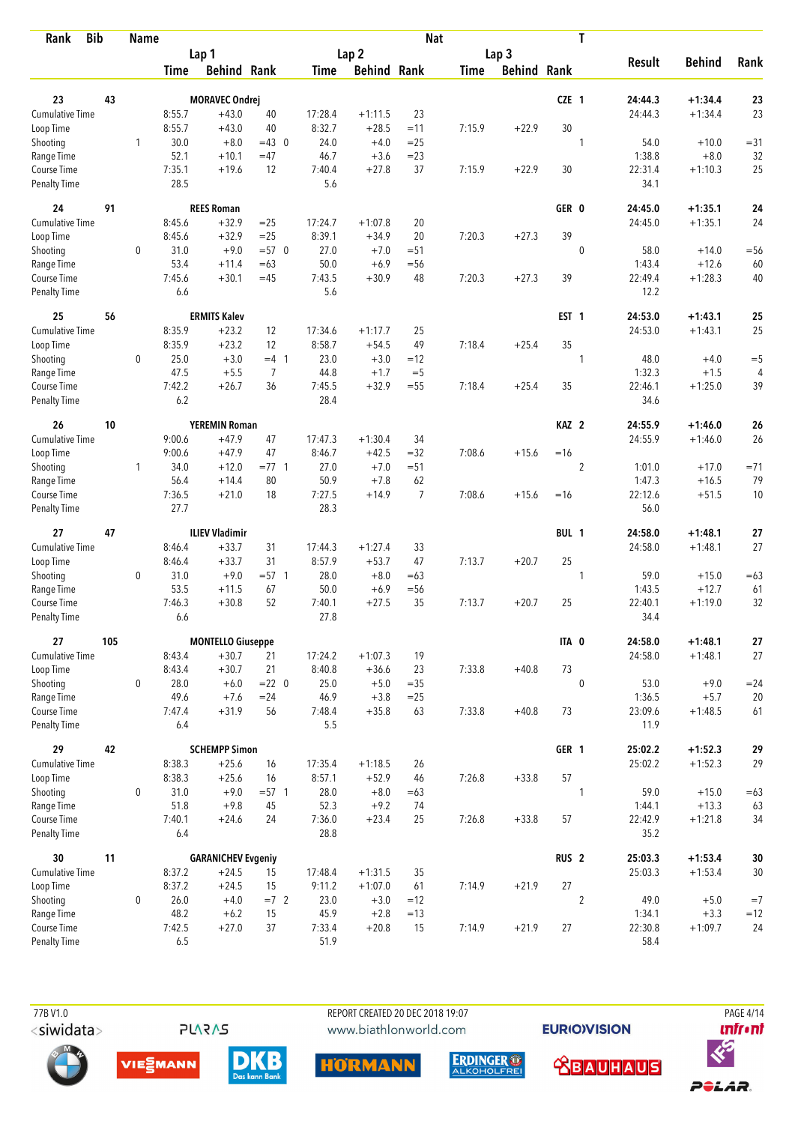| <b>Bib</b><br>Rank                 |     | <b>Name</b>  |                  |                           |                |         |                    | <b>Nat</b>     |             |                    |                  | T              |                 |               |          |
|------------------------------------|-----|--------------|------------------|---------------------------|----------------|---------|--------------------|----------------|-------------|--------------------|------------------|----------------|-----------------|---------------|----------|
|                                    |     |              |                  | Lap 1                     |                |         | Lap <sub>2</sub>   |                |             | Lap <sub>3</sub>   |                  |                |                 |               |          |
|                                    |     |              | <b>Time</b>      | <b>Behind Rank</b>        |                | Time    | <b>Behind Rank</b> |                | <b>Time</b> | <b>Behind Rank</b> |                  |                | <b>Result</b>   | <b>Behind</b> | Rank     |
| 23                                 | 43  |              |                  | <b>MORAVEC Ondrej</b>     |                |         |                    |                |             |                    | CZE 1            |                | 24:44.3         | $+1:34.4$     | 23       |
| Cumulative Time                    |     |              |                  | $+43.0$                   | 40             | 17:28.4 | $+1:11.5$          | 23             |             |                    |                  |                | 24:44.3         | $+1:34.4$     | 23       |
|                                    |     |              | 8:55.7<br>8:55.7 | $+43.0$                   | 40             | 8:32.7  | $+28.5$            | $=11$          | 7:15.9      | $+22.9$            | 30               |                |                 |               |          |
| Loop Time                          |     |              | 30.0             | $+8.0$                    | $=43$ 0        | 24.0    | $+4.0$             | $=25$          |             |                    |                  |                | 54.0            | $+10.0$       |          |
| Shooting                           |     | 1            | 52.1             |                           |                | 46.7    |                    | $= 23$         |             |                    |                  | 1              | 1:38.8          | $+8.0$        | $= 31$   |
| Range Time                         |     |              |                  | $+10.1$<br>$+19.6$        | $=47$<br>12    | 7:40.4  | $+3.6$<br>$+27.8$  | 37             |             |                    | 30               |                |                 | $+1:10.3$     | 32<br>25 |
| Course Time<br><b>Penalty Time</b> |     |              | 7:35.1<br>28.5   |                           |                | 5.6     |                    |                | 7:15.9      | $+22.9$            |                  |                | 22:31.4<br>34.1 |               |          |
| 24                                 | 91  |              |                  | <b>REES Roman</b>         |                |         |                    |                |             |                    | GER 0            |                | 24:45.0         | $+1:35.1$     | 24       |
| Cumulative Time                    |     |              | 8:45.6           | $+32.9$                   | $=25$          | 17:24.7 | $+1:07.8$          | 20             |             |                    |                  |                | 24:45.0         | $+1:35.1$     | 24       |
| Loop Time                          |     |              | 8:45.6           | $+32.9$                   | $=25$          | 8:39.1  | $+34.9$            | 20             | 7:20.3      | $+27.3$            | 39               |                |                 |               |          |
| Shooting                           |     | 0            | 31.0             | $+9.0$                    | $= 570$        | 27.0    | $+7.0$             | $= 51$         |             |                    |                  | $\mathbf 0$    | 58.0            | $+14.0$       | $=$ 56   |
| Range Time                         |     |              | 53.4             | $+11.4$                   | $=63$          | 50.0    | $+6.9$             | $=$ 56         |             |                    |                  |                | 1:43.4          | $+12.6$       | 60       |
| Course Time                        |     |              | 7:45.6           | $+30.1$                   | $=45$          | 7:43.5  | $+30.9$            | 48             | 7:20.3      | $+27.3$            | 39               |                | 22:49.4         | $+1:28.3$     | 40       |
| <b>Penalty Time</b>                |     |              | 6.6              |                           |                | 5.6     |                    |                |             |                    |                  |                | 12.2            |               |          |
| 25                                 | 56  |              |                  | <b>ERMITS Kalev</b>       |                |         |                    |                |             |                    | EST <sub>1</sub> |                | 24:53.0         | $+1:43.1$     | 25       |
| <b>Cumulative Time</b>             |     |              | 8:35.9           | $+23.2$                   | 12             | 17:34.6 | $+1:17.7$          | 25             |             |                    |                  |                | 24:53.0         | $+1:43.1$     | 25       |
| Loop Time                          |     |              | 8:35.9           | $+23.2$                   | 12             | 8:58.7  | $+54.5$            | 49             | 7:18.4      | $+25.4$            | 35               |                |                 |               |          |
| Shooting                           |     | $\mathbf 0$  | 25.0             | $+3.0$                    | $=4$ 1         | 23.0    | $+3.0$             | $=12$          |             |                    |                  | 1              | 48.0            | $+4.0$        | $=$ 5    |
| Range Time                         |     |              | 47.5             | $+5.5$                    | $\overline{7}$ | 44.8    | $+1.7$             | $=$ 5          |             |                    |                  |                | 1:32.3          | $+1.5$        | 4        |
| Course Time                        |     |              | 7:42.2           | $+26.7$                   | 36             | 7:45.5  | $+32.9$            | $=55$          | 7:18.4      | $+25.4$            | 35               |                | 22:46.1         | $+1:25.0$     | 39       |
| <b>Penalty Time</b>                |     |              | 6.2              |                           |                | 28.4    |                    |                |             |                    |                  |                | 34.6            |               |          |
| 26                                 | 10  |              |                  | <b>YEREMIN Roman</b>      |                |         |                    |                |             |                    | KAZ <sub>2</sub> |                | 24:55.9         | $+1:46.0$     | 26       |
| Cumulative Time                    |     |              | 9:00.6           | $+47.9$                   | 47             | 17:47.3 | $+1:30.4$          | 34             |             |                    |                  |                | 24:55.9         | $+1:46.0$     | 26       |
| Loop Time                          |     |              | 9:00.6           | $+47.9$                   | 47             | 8:46.7  | $+42.5$            | $=32$          | 7:08.6      | $+15.6$            | $=16$            |                |                 |               |          |
| Shooting                           |     | $\mathbf{1}$ | 34.0             | $+12.0$                   | $= 77.1$       | 27.0    | $+7.0$             | $= 51$         |             |                    |                  | $\overline{2}$ | 1:01.0          | $+17.0$       | $= 71$   |
| Range Time                         |     |              | 56.4             | $+14.4$                   | 80             | 50.9    | $+7.8$             | 62             |             |                    |                  |                | 1:47.3          | $+16.5$       | 79       |
| Course Time                        |     |              | 7:36.5           | $+21.0$                   | 18             | 7:27.5  | $+14.9$            | $\overline{7}$ | 7:08.6      | $+15.6$            | $=16$            |                | 22:12.6         | $+51.5$       | 10       |
| <b>Penalty Time</b>                |     |              | 27.7             |                           |                | 28.3    |                    |                |             |                    |                  |                | 56.0            |               |          |
| 27                                 | 47  |              |                  | <b>ILIEV Vladimir</b>     |                |         |                    |                |             |                    | BUL 1            |                | 24:58.0         | $+1:48.1$     | 27       |
| <b>Cumulative Time</b>             |     |              | 8:46.4           | $+33.7$                   | 31             | 17:44.3 | $+1:27.4$          | 33             |             |                    |                  |                | 24:58.0         | $+1:48.1$     | 27       |
| Loop Time                          |     |              | 8:46.4           | $+33.7$                   | 31             | 8:57.9  | $+53.7$            | 47             | 7:13.7      | $+20.7$            | 25               |                |                 |               |          |
| Shooting                           |     | 0            | 31.0             | $+9.0$                    | $= 57$ 1       | 28.0    | $+8.0$             | $=63$          |             |                    |                  | 1              | 59.0            | $+15.0$       | $=63$    |
| Range Time                         |     |              | 53.5             | $+11.5$                   | 67             | 50.0    | $+6.9$             | $=$ 56         |             |                    |                  |                | 1:43.5          | $+12.7$       | 61       |
| Course Time                        |     |              | 7:46.3           | $+30.8$                   | 52             | 7:40.1  | $+27.5$            | 35             | 7:13.7      | $+20.7$            | 25               |                | 22:40.1         | $+1:19.0$     | 32       |
| <b>Penalty Time</b>                |     |              | 6.6              |                           |                | 27.8    |                    |                |             |                    |                  |                | 34.4            |               |          |
| 27                                 | 105 |              |                  | <b>MONTELLO Giuseppe</b>  |                |         |                    |                |             |                    | ITA 0            |                | 24:58.0         | $+1:48.1$     | 27       |
| Cumulative Time                    |     |              | 8:43.4           | $+30.7$                   | 21             | 17:24.2 | $+1:07.3$          | 19             |             |                    |                  |                | 24:58.0         | $+1:48.1$     | 27       |
| Loop Time                          |     |              | 8:43.4           | $+30.7$                   | 21             | 8:40.8  | $+36.6$            | 23             | 7:33.8      | $+40.8$            | 73               |                |                 |               |          |
| Shooting                           |     | 0            | 28.0             | $+6.0$                    | $= 22 \ 0$     | 25.0    | $+5.0$             | $= 35$         |             |                    |                  | $\mathbf 0$    | 53.0            | $+9.0$        | $= 24$   |
| Range Time                         |     |              | 49.6             | $+7.6$                    | $= 24$         | 46.9    | $+3.8$             | $= 25$         |             |                    |                  |                | 1:36.5          | $+5.7$        | 20       |
| Course Time                        |     |              | 7:47.4           | $+31.9$                   | 56             | 7:48.4  | $+35.8$            | 63             | 7:33.8      | $+40.8$            | 73               |                | 23:09.6         | $+1:48.5$     | 61       |
| Penalty Time                       |     |              | 6.4              |                           |                | 5.5     |                    |                |             |                    |                  |                | 11.9            |               |          |
| 29                                 | 42  |              |                  | <b>SCHEMPP Simon</b>      |                |         |                    |                |             |                    | GER 1            |                | 25:02.2         | $+1:52.3$     | 29       |
| <b>Cumulative Time</b>             |     |              | 8:38.3           | $+25.6$                   | 16             | 17:35.4 | $+1:18.5$          | 26             |             |                    |                  |                | 25:02.2         | $+1:52.3$     | 29       |
| Loop Time                          |     |              | 8:38.3           | $+25.6$                   | 16             | 8:57.1  | $+52.9$            | 46             | 7:26.8      | $+33.8$            | 57               |                |                 |               |          |
| Shooting                           |     | 0            | 31.0             | $+9.0$                    | $= 57.1$       | 28.0    | $+8.0$             | $=63$          |             |                    |                  | 1              | 59.0            | $+15.0$       | $=63$    |
| Range Time                         |     |              | 51.8             | $+9.8$                    | 45             | 52.3    | $+9.2$             | 74             |             |                    |                  |                | 1:44.1          | $+13.3$       | 63       |
| Course Time                        |     |              | 7:40.1           | $+24.6$                   | 24             | 7:36.0  | $+23.4$            | 25             | 7:26.8      | $+33.8$            | 57               |                | 22:42.9         | $+1:21.8$     | 34       |
| Penalty Time                       |     |              | 6.4              |                           |                | 28.8    |                    |                |             |                    |                  |                | 35.2            |               |          |
| 30                                 | 11  |              |                  | <b>GARANICHEV Evgeniy</b> |                |         |                    |                |             |                    | RUS <sub>2</sub> |                | 25:03.3         | $+1:53.4$     | $30\,$   |
| <b>Cumulative Time</b>             |     |              | 8:37.2           | $+24.5$                   | 15             | 17:48.4 | $+1:31.5$          | 35             |             |                    |                  |                | 25:03.3         | $+1:53.4$     | $30\,$   |
| Loop Time                          |     |              | 8:37.2           | $+24.5$                   | 15             | 9:11.2  | $+1:07.0$          | 61             | 7:14.9      | $+21.9$            | 27               |                |                 |               |          |
| Shooting                           |     | $\mathbf 0$  | 26.0             | $+4.0$                    | $=7$ 2         | 23.0    | $+3.0$             | $=12$          |             |                    |                  | $\overline{2}$ | 49.0            | $+5.0$        | $=7$     |
| Range Time                         |     |              | 48.2             | $+6.2$                    | 15             | 45.9    | $+2.8$             | $=13$          |             |                    |                  |                | 1:34.1          | $+3.3$        | $=12$    |
| Course Time                        |     |              | 7:42.5           | $+27.0$                   | 37             | 7:33.4  | $+20.8$            | 15             | 7:14.9      | $+21.9$            | 27               |                | 22:30.8         | $+1:09.7$     | 24       |
| Penalty Time                       |     |              | 6.5              |                           |                | 51.9    |                    |                |             |                    |                  |                | 58.4            |               |          |

**PLARAS** 

REPORT CREATED 20 DEC 2018 19:07 www.biathlonworld.com

**EURIOVISION** 

PAGE 4/14 *<u><u>Infront</u>*</u>











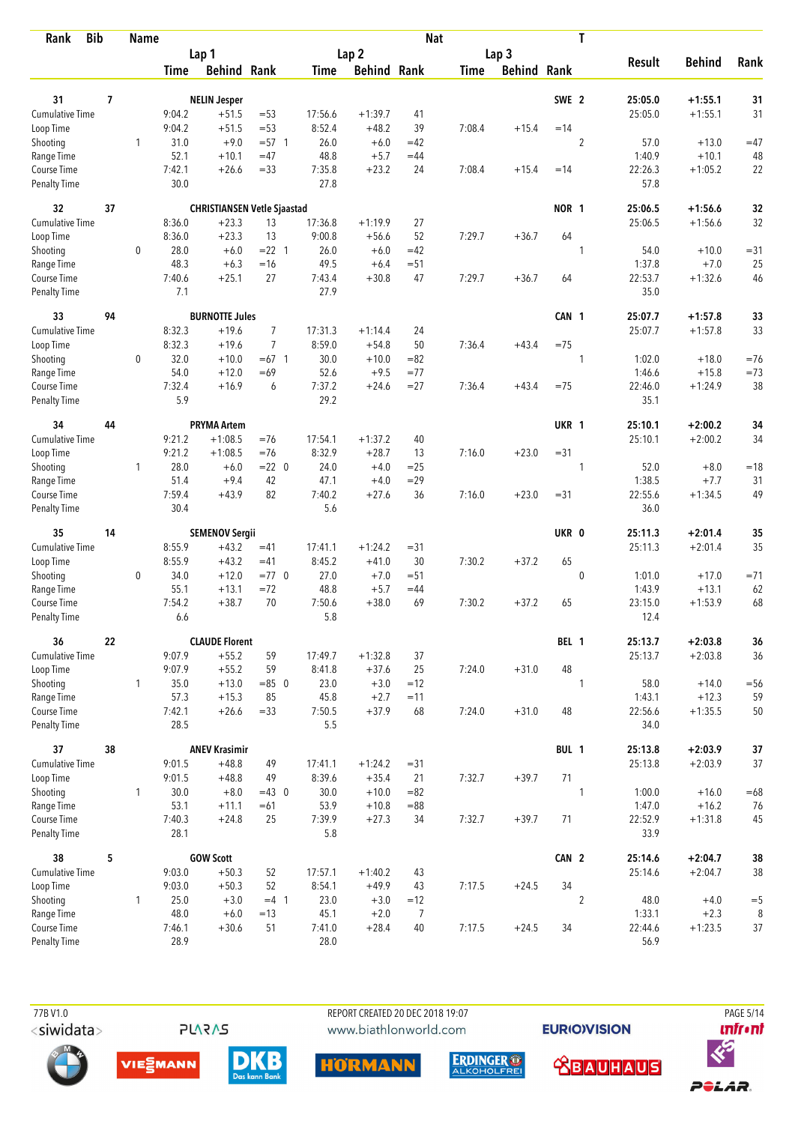| Rank                               | <b>Bib</b> | <b>Name</b>  |                |                                    |                |                |                    | <b>Nat</b>           |        |                    |                  | T              |                   |                      |         |
|------------------------------------|------------|--------------|----------------|------------------------------------|----------------|----------------|--------------------|----------------------|--------|--------------------|------------------|----------------|-------------------|----------------------|---------|
|                                    |            |              |                | Lap 1                              |                |                | Lap <sub>2</sub>   |                      |        | Lap <sub>3</sub>   |                  |                |                   |                      |         |
|                                    |            |              | Time           | <b>Behind Rank</b>                 |                | Time           | <b>Behind Rank</b> |                      | Time   | <b>Behind Rank</b> |                  |                | <b>Result</b>     | <b>Behind</b>        | Rank    |
| 31                                 | 7          |              |                | <b>NELIN Jesper</b>                |                |                |                    |                      |        |                    | SWE <sub>2</sub> |                | 25:05.0           | $+1:55.1$            | 31      |
| Cumulative Time                    |            |              | 9:04.2         | $+51.5$                            | $= 53$         | 17:56.6        | $+1:39.7$          | 41                   |        |                    |                  |                | 25:05.0           | $+1:55.1$            | 31      |
| Loop Time                          |            |              | 9:04.2         | $+51.5$                            | $= 53$         | 8:52.4         | $+48.2$            | 39                   | 7:08.4 | $+15.4$            | $=14$            |                |                   |                      |         |
| Shooting                           |            | 1            | 31.0           | $+9.0$                             | $= 57.1$       | 26.0           | $+6.0$             | $=42$                |        |                    |                  | $\sqrt{2}$     | 57.0              | $+13.0$              | $=47$   |
| Range Time                         |            |              | 52.1           | $+10.1$                            | $=47$          | 48.8           | $+5.7$             | $=44$                |        |                    |                  |                | 1:40.9            | $+10.1$              | 48      |
| Course Time                        |            |              | 7:42.1         | $+26.6$                            | $= 33$         | 7:35.8         | $+23.2$            | 24                   | 7:08.4 | $+15.4$            | $=14$            |                | 22:26.3           | $+1:05.2$            | 22      |
| <b>Penalty Time</b>                |            |              | 30.0           |                                    |                | 27.8           |                    |                      |        |                    |                  |                | 57.8              |                      |         |
| 32                                 | 37         |              |                | <b>CHRISTIANSEN Vetle Sjaastad</b> |                |                |                    |                      |        |                    | NOR 1            |                | 25:06.5           | $+1:56.6$            | 32      |
| <b>Cumulative Time</b>             |            |              | 8:36.0         | $+23.3$                            | 13             | 17:36.8        | $+1:19.9$          | 27                   |        |                    |                  |                | 25:06.5           | $+1:56.6$            | 32      |
| Loop Time                          |            |              | 8:36.0         | $+23.3$                            | 13             | 9:00.8         | $+56.6$            | 52                   | 7:29.7 | $+36.7$            | 64               |                |                   |                      |         |
| Shooting                           |            | 0            | 28.0           | $+6.0$                             | $= 22$ 1       | 26.0           | $+6.0$             | $=42$                |        |                    |                  | 1              | 54.0              | $+10.0$              | $= 31$  |
| Range Time                         |            |              | 48.3           | $+6.3$                             | $=16$          | 49.5           | $+6.4$             | $= 51$               |        |                    |                  |                | 1:37.8            | $+7.0$               | 25      |
| Course Time                        |            |              | 7:40.6         | $+25.1$                            | 27             | 7:43.4         | $+30.8$            | 47                   | 7:29.7 | $+36.7$            | 64               |                | 22:53.7           | $+1:32.6$            | 46      |
| Penalty Time                       |            |              | 7.1            |                                    |                | 27.9           |                    |                      |        |                    |                  |                | 35.0              |                      |         |
| 33                                 | 94         |              |                | <b>BURNOTTE Jules</b>              |                |                |                    |                      |        |                    | CAN 1            |                | 25:07.7           | $+1:57.8$            | 33      |
| <b>Cumulative Time</b>             |            |              | 8:32.3         | $+19.6$                            | 7              | 17:31.3        | $+1:14.4$          | 24                   |        |                    |                  |                | 25:07.7           | $+1:57.8$            | 33      |
| Loop Time                          |            |              | 8:32.3         | $+19.6$                            | $\overline{7}$ | 8:59.0         | $+54.8$            | 50                   | 7:36.4 | $+43.4$            | $=75$            |                |                   |                      |         |
| Shooting                           |            | $\mathbf 0$  | 32.0           | $+10.0$                            | $=67$ 1        | 30.0           | $+10.0$            | $= 82$               |        |                    |                  | 1              | 1:02.0            | $+18.0$              | $=76$   |
| Range Time                         |            |              | 54.0           | $+12.0$                            | $=69$          | 52.6           | $+9.5$             | $= 77$<br>$= 27$     |        |                    |                  |                | 1:46.6            | $+15.8$<br>$+1:24.9$ | $=73$   |
| Course Time<br><b>Penalty Time</b> |            |              | 7:32.4<br>5.9  | $+16.9$                            | 6              | 7:37.2<br>29.2 | $+24.6$            |                      | 7:36.4 | $+43.4$            | $=75$            |                | 22:46.0<br>35.1   |                      | 38      |
| 34                                 | 44         |              |                | <b>PRYMA Artem</b>                 |                |                |                    |                      |        |                    | UKR 1            |                | 25:10.1           | $+2:00.2$            | 34      |
| Cumulative Time                    |            |              | 9:21.2         | $+1:08.5$                          | $=76$          | 17:54.1        | $+1:37.2$          | 40                   |        |                    |                  |                | 25:10.1           | $+2:00.2$            | 34      |
| Loop Time                          |            |              | 9:21.2         | $+1:08.5$                          | $=76$          | 8:32.9         | $+28.7$            | 13                   | 7:16.0 | $+23.0$            | $= 31$           |                |                   |                      |         |
| Shooting                           |            | $\mathbf{1}$ | 28.0           | $+6.0$                             | $= 22 \ 0$     | 24.0           | $+4.0$             | $=25$                |        |                    |                  | 1              | 52.0              | $+8.0$               | $=18$   |
| Range Time                         |            |              | 51.4           | $+9.4$                             | 42             | 47.1           | $+4.0$             | $=29$                |        |                    |                  |                | 1:38.5            | $+7.7$               | 31      |
| Course Time                        |            |              | 7:59.4         | $+43.9$                            | 82             | 7:40.2         | $+27.6$            | 36                   | 7:16.0 | $+23.0$            | $= 31$           |                | 22:55.6           | $+1:34.5$            | 49      |
| <b>Penalty Time</b>                |            |              | 30.4           |                                    |                | 5.6            |                    |                      |        |                    |                  |                | 36.0              |                      |         |
| 35                                 | 14         |              |                | <b>SEMENOV Sergii</b>              |                |                |                    |                      |        |                    | UKR 0            |                | 25:11.3           | $+2:01.4$            | 35      |
| Cumulative Time                    |            |              | 8:55.9         | $+43.2$                            | $=41$          | 17:41.1        | $+1:24.2$          | $= 31$               |        |                    |                  |                | 25:11.3           | $+2:01.4$            | 35      |
| Loop Time                          |            |              | 8:55.9         | $+43.2$                            | $=41$          | 8:45.2         | $+41.0$            | 30                   | 7:30.2 | $+37.2$            | 65               |                |                   |                      |         |
| Shooting                           |            | $\mathbf 0$  | 34.0           | $+12.0$                            | $=77$ 0        | 27.0           | $+7.0$             | $= 51$               |        |                    |                  | $\mathbf 0$    | 1:01.0            | $+17.0$              | $= 71$  |
| Range Time                         |            |              | 55.1           | $+13.1$                            | $= 72$         | 48.8           | $+5.7$             | $=44$                |        |                    |                  |                | 1:43.9            | $+13.1$              | 62      |
| Course Time                        |            |              | 7:54.2         | $+38.7$                            | 70             | 7:50.6         | $+38.0$            | 69                   | 7:30.2 | $+37.2$            | 65               |                | 23:15.0           | $+1:53.9$            | 68      |
| <b>Penalty Time</b>                |            |              | 6.6            |                                    |                | 5.8            |                    |                      |        |                    |                  |                | 12.4              |                      |         |
| 36                                 | 22         |              |                | <b>CLAUDE Florent</b>              |                |                |                    |                      |        |                    | BEL 1            |                | 25:13.7           | $+2:03.8$            | 36      |
| <b>Cumulative Time</b>             |            |              | 9:07.9         | $+55.2$                            | 59             | 17:49.7        | $+1:32.8$          | 37                   |        |                    |                  |                | 25:13.7           | $+2:03.8$            | 36      |
| Loop Time                          |            |              | 9:07.9         | $+55.2$                            | 59             | 8:41.8         | $+37.6$            | 25                   | 7:24.0 | $+31.0$            | 48               |                |                   |                      |         |
| Shooting                           |            | $\mathbf{1}$ | 35.0           | $+13.0$                            | $= 85$ 0       | 23.0           | $+3.0$             | $=12$                |        |                    |                  | 1              | 58.0              | $+14.0$              | $= 56$  |
| Range Time                         |            |              | 57.3           | $+15.3$                            | 85             | 45.8           | $+2.7$             | $=11$                |        |                    |                  |                | 1:43.1            | $+12.3$              | 59      |
| Course Time<br>Penalty Time        |            |              | 7:42.1<br>28.5 | $+26.6$                            | $= 33$         | 7:50.5<br>5.5  | $+37.9$            | 68                   | 7:24.0 | $+31.0$            | 48               |                | 22:56.6<br>34.0   | $+1:35.5$            | 50      |
| 37                                 | 38         |              |                | <b>ANEV Krasimir</b>               |                |                |                    |                      |        |                    | BUL 1            |                | 25:13.8           | $+2:03.9$            | 37      |
| <b>Cumulative Time</b>             |            |              | 9:01.5         | $+48.8$                            | 49             | 17:41.1        | $+1:24.2$          | $= 31$               |        |                    |                  |                | 25:13.8           | $+2:03.9$            | 37      |
| Loop Time                          |            |              | 9:01.5         | $+48.8$                            | 49             | 8:39.6         | $+35.4$            | 21                   | 7:32.7 | $+39.7$            | 71               |                |                   |                      |         |
| Shooting                           |            | $\mathbf{1}$ | 30.0           | $+8.0$                             | $=43$ 0        | 30.0           | $+10.0$            | $= 82$               |        |                    |                  | 1              | 1:00.0            | $+16.0$              | $=68$   |
| Range Time                         |            |              | 53.1           | $+11.1$                            | $=61$          | 53.9           | $+10.8$            | $= 88$               |        |                    |                  |                | 1:47.0            | $+16.2$              | 76      |
| Course Time                        |            |              | 7:40.3         | $+24.8$                            | 25             | 7:39.9         | $+27.3$            | 34                   | 7:32.7 | $+39.7$            | 71               |                | 22:52.9           | $+1:31.8$            | 45      |
| <b>Penalty Time</b>                |            |              | 28.1           |                                    |                | 5.8            |                    |                      |        |                    |                  |                | 33.9              |                      |         |
| 38                                 | 5          |              |                | <b>GOW Scott</b>                   |                |                |                    |                      |        |                    | CAN 2            |                | 25:14.6           | $+2:04.7$            | 38      |
| <b>Cumulative Time</b>             |            |              | 9:03.0         | $+50.3$                            | 52             | 17:57.1        | $+1:40.2$          | 43                   |        |                    |                  |                | 25:14.6           | $+2:04.7$            | 38      |
| Loop Time                          |            |              | 9:03.0         | $+50.3$                            | 52             | 8:54.1         | $+49.9$            | 43                   | 7:17.5 | $+24.5$            | 34               |                |                   |                      |         |
| Shooting                           |            | $\mathbf{1}$ | 25.0           | $+3.0$                             | $=4$ 1         | 23.0           | $+3.0$             | $=12$                |        |                    |                  | $\overline{2}$ | 48.0              | $+4.0$               | $= 5$   |
| Range Time<br>Course Time          |            |              | 48.0<br>7:46.1 | $+6.0$<br>$+30.6$                  | $=13$<br>51    | 45.1<br>7:41.0 | $+2.0$<br>$+28.4$  | $\overline{7}$<br>40 | 7:17.5 | $+24.5$            | 34               |                | 1:33.1<br>22:44.6 | $+2.3$<br>$+1:23.5$  | 8<br>37 |
| <b>Penalty Time</b>                |            |              | 28.9           |                                    |                | 28.0           |                    |                      |        |                    |                  |                | 56.9              |                      |         |
|                                    |            |              |                |                                    |                |                |                    |                      |        |                    |                  |                |                   |                      |         |

REPORT CREATED 20 DEC 2018 19:07 www.biathlonworld.com

**EURIOVISION** 

PAGE 5/14 *<u><u>Infront</u>*</u>











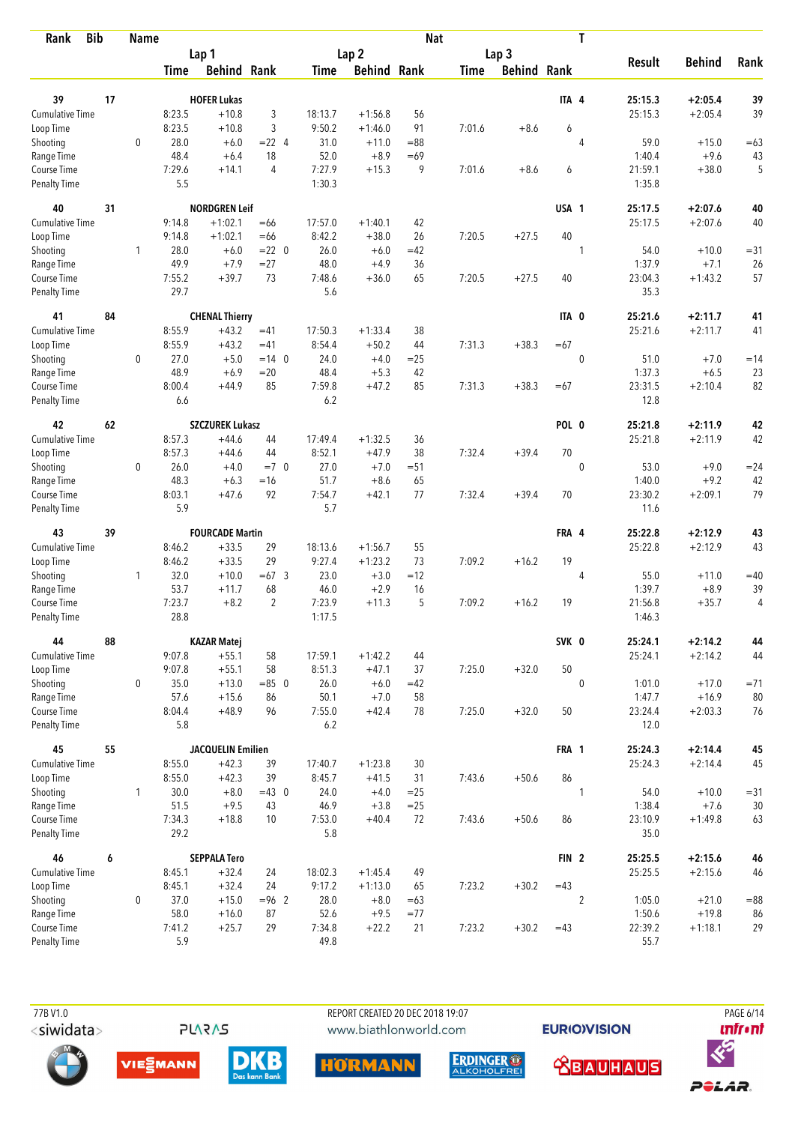| <b>Bib</b><br>Rank          |    | <b>Name</b>  |               |                          |                |               |                    | <b>Nat</b>   |             |                    |                  | T              |                   |                   |          |
|-----------------------------|----|--------------|---------------|--------------------------|----------------|---------------|--------------------|--------------|-------------|--------------------|------------------|----------------|-------------------|-------------------|----------|
|                             |    |              |               | Lap 1                    |                |               | Lap <sub>2</sub>   |              |             | Lap 3              |                  |                |                   |                   |          |
|                             |    |              | <b>Time</b>   | <b>Behind Rank</b>       |                | Time          | <b>Behind Rank</b> |              | <b>Time</b> | <b>Behind Rank</b> |                  |                | <b>Result</b>     | <b>Behind</b>     | Rank     |
| 39                          | 17 |              |               | <b>HOFER Lukas</b>       |                |               |                    |              |             |                    | ITA 4            |                | 25:15.3           | $+2:05.4$         | 39       |
| Cumulative Time             |    |              | 8:23.5        | $+10.8$                  | 3              | 18:13.7       | $+1:56.8$          | 56           |             |                    |                  |                | 25:15.3           | $+2:05.4$         | 39       |
| Loop Time                   |    |              | 8:23.5        | $+10.8$                  | 3              | 9:50.2        | $+1:46.0$          | 91           | 7:01.6      | $+8.6$             | 6                |                |                   |                   |          |
| Shooting                    |    | $\mathbf 0$  | 28.0          | $+6.0$                   | $= 22 \quad 4$ | 31.0          | $+11.0$            | $= 88$       |             |                    |                  | $\overline{4}$ | 59.0              | $+15.0$           | $=63$    |
| Range Time                  |    |              | 48.4          | $+6.4$                   | 18             | 52.0          | $+8.9$             | $=69$        |             |                    |                  |                | 1:40.4            | $+9.6$            | 43       |
| Course Time                 |    |              | 7:29.6        | $+14.1$                  | 4              | 7:27.9        | $+15.3$            | 9            | 7:01.6      | $+8.6$             | 6                |                | 21:59.1           | $+38.0$           | 5        |
| <b>Penalty Time</b>         |    |              | 5.5           |                          |                | 1:30.3        |                    |              |             |                    |                  |                | 1:35.8            |                   |          |
| 40                          | 31 |              |               | <b>NORDGREN Leif</b>     |                |               |                    |              |             |                    | USA 1            |                | 25:17.5           | $+2:07.6$         | 40       |
| Cumulative Time             |    |              | 9:14.8        | $+1:02.1$                | $=66$          | 17:57.0       | $+1:40.1$          | 42           |             |                    |                  |                | 25:17.5           | $+2:07.6$         | 40       |
| Loop Time                   |    |              | 9:14.8        | $+1:02.1$                | $=66$          | 8:42.2        | $+38.0$            | 26           | 7:20.5      | $+27.5$            | 40               |                |                   |                   |          |
| Shooting                    |    | 1            | 28.0          | $+6.0$                   | $= 22 \ 0$     | 26.0          | $+6.0$             | $=42$        |             |                    |                  | $\mathbf{1}$   | 54.0              | $+10.0$           | $= 31$   |
| Range Time                  |    |              | 49.9          | $+7.9$                   | $= 27$         | 48.0          | $+4.9$             | 36           |             |                    |                  |                | 1:37.9            | $+7.1$            | 26       |
| Course Time                 |    |              | 7:55.2        | $+39.7$                  | 73             | 7:48.6        | $+36.0$            | 65           | 7:20.5      | $+27.5$            | 40               |                | 23:04.3           | $+1:43.2$         | 57       |
| <b>Penalty Time</b>         |    |              | 29.7          |                          |                | 5.6           |                    |              |             |                    |                  |                | 35.3              |                   |          |
| 41                          | 84 |              |               | <b>CHENAL Thierry</b>    |                |               |                    |              |             |                    | ITA 0            |                | 25:21.6           | $+2:11.7$         | 41       |
| Cumulative Time             |    |              | 8:55.9        | $+43.2$                  | $=41$          | 17:50.3       | $+1:33.4$          | 38           |             |                    |                  |                | 25:21.6           | $+2:11.7$         | 41       |
| Loop Time                   |    |              | 8:55.9        | $+43.2$                  | $=41$          | 8:54.4        | $+50.2$            | 44           | 7:31.3      | $+38.3$            | $=67$            |                |                   |                   |          |
| Shooting                    |    | 0            | 27.0          | $+5.0$                   | $=14$ 0        | 24.0          | $+4.0$             | $= 25$       |             |                    |                  | $\mathbf 0$    | 51.0              | $+7.0$            | $=14$    |
| Range Time                  |    |              | 48.9          | $+6.9$                   | $=20$          | 48.4          | $+5.3$             | 42           |             |                    |                  |                | 1:37.3            | $+6.5$            | 23       |
| Course Time                 |    |              | 8:00.4        | $+44.9$                  | 85             | 7:59.8        | $+47.2$            | 85           | 7:31.3      | $+38.3$            | $=67$            |                | 23:31.5           | $+2:10.4$         | 82       |
| <b>Penalty Time</b>         |    |              | 6.6           |                          |                | 6.2           |                    |              |             |                    |                  |                | 12.8              |                   |          |
| 42                          | 62 |              |               | <b>SZCZUREK Lukasz</b>   |                |               |                    |              |             |                    | POL 0            |                | 25:21.8           | $+2:11.9$         | 42       |
| Cumulative Time             |    |              | 8:57.3        | $+44.6$                  | 44             | 17:49.4       | $+1:32.5$          | 36           |             |                    |                  |                | 25:21.8           | $+2:11.9$         | 42       |
| Loop Time                   |    |              | 8:57.3        | $+44.6$                  | 44             | 8:52.1        | $+47.9$            | 38           | 7:32.4      | $+39.4$            | 70               |                |                   |                   |          |
| Shooting                    |    | 0            | 26.0          | $+4.0$                   | $=7$ 0         | 27.0          | $+7.0$             | $= 51$       |             |                    |                  | $\mathbf 0$    | 53.0              | $+9.0$            | $= 24$   |
| Range Time                  |    |              | 48.3          | $+6.3$                   | $=16$          | 51.7          | $+8.6$             | 65           |             |                    |                  |                | 1:40.0            | $+9.2$            | 42       |
| Course Time                 |    |              | 8:03.1        | $+47.6$                  | 92             | 7:54.7        | $+42.1$            | 77           | 7:32.4      | $+39.4$            | 70               |                | 23:30.2           | $+2:09.1$         | 79       |
| <b>Penalty Time</b>         |    |              | 5.9           |                          |                | 5.7           |                    |              |             |                    |                  |                | 11.6              |                   |          |
| 43                          | 39 |              |               | <b>FOURCADE Martin</b>   |                |               |                    |              |             |                    | FRA 4            |                | 25:22.8           | $+2:12.9$         | 43       |
| Cumulative Time             |    |              | 8:46.2        | $+33.5$                  | 29             | 18:13.6       | $+1:56.7$          | 55           |             |                    |                  |                | 25:22.8           | $+2:12.9$         | 43       |
| Loop Time                   |    |              | 8:46.2        | $+33.5$                  | 29             | 9:27.4        | $+1:23.2$          | 73           | 7:09.2      | $+16.2$            | 19               |                |                   |                   |          |
| Shooting                    |    | $\mathbf{1}$ | 32.0          | $+10.0$                  | $=67.3$        | 23.0          | $+3.0$             | $=12$        |             |                    |                  | 4              | 55.0              | $+11.0$           | $=40$    |
| Range Time                  |    |              | 53.7          | $+11.7$                  | 68             | 46.0          | $+2.9$             | 16           |             |                    |                  |                | 1:39.7            | $+8.9$            | 39       |
| Course Time                 |    |              | 7:23.7        | $+8.2$                   | $\overline{2}$ | 7:23.9        | $+11.3$            | 5            | 7:09.2      | $+16.2$            | 19               |                | 21:56.8           | $+35.7$           | 4        |
| <b>Penalty Time</b>         |    |              | 28.8          |                          |                | 1:17.5        |                    |              |             |                    |                  |                | 1:46.3            |                   |          |
| 44                          | 88 |              |               | <b>KAZAR Matej</b>       |                |               |                    |              |             |                    | SVK 0            |                | 25:24.1           | $+2:14.2$         | 44       |
| <b>Cumulative Time</b>      |    |              | 9:07.8        | $+55.1$                  | 58             | 17:59.1       | $+1:42.2$          | 44           |             |                    |                  |                | 25:24.1           | $+2:14.2$         | 44       |
| Loop Time                   |    |              | 9:07.8        | $+55.1$                  | 58             | 8:51.3        | $+47.1$            | 37           | 7:25.0      | $+32.0$            | 50               |                |                   |                   |          |
| Shooting                    |    | 0            | 35.0          | $+13.0$                  | $= 85 \ 0$     | 26.0          | $+6.0$             | $=42$        |             |                    |                  | $\mathbf 0$    | 1:01.0            | $+17.0$           | $= 71$   |
| Range Time                  |    |              | 57.6          | $+15.6$                  | 86             | 50.1          | $+7.0$             | 58           |             |                    |                  |                | 1:47.7            | $+16.9$           | 80       |
| Course Time<br>Penalty Time |    |              | 8:04.4<br>5.8 | $+48.9$                  | 96             | 7:55.0<br>6.2 | $+42.4$            | 78           | 7:25.0      | $+32.0$            | 50               |                | 23:24.4<br>12.0   | $+2:03.3$         | 76       |
| 45                          | 55 |              |               | <b>JACQUELIN Emilien</b> |                |               |                    |              |             |                    | FRA 1            |                | 25:24.3           | $+2:14.4$         | 45       |
| <b>Cumulative Time</b>      |    |              | 8:55.0        | $+42.3$                  | 39             | 17:40.7       | $+1:23.8$          | 30           |             |                    |                  |                | 25:24.3           | $+2:14.4$         | 45       |
| Loop Time                   |    |              | 8:55.0        | $+42.3$                  | 39             | 8:45.7        | $+41.5$            | 31           | 7:43.6      | $+50.6$            | 86               |                |                   |                   |          |
|                             |    | $\mathbf{1}$ | 30.0          | $+8.0$                   | $=43$ 0        |               | $+4.0$             | $=25$        |             |                    |                  |                |                   |                   |          |
| Shooting                    |    |              | 51.5          | $+9.5$                   |                | 24.0<br>46.9  |                    |              |             |                    |                  | 1              | 54.0              | $+10.0$<br>$+7.6$ | $= 31$   |
| Range Time<br>Course Time   |    |              | 7:34.3        | $+18.8$                  | 43<br>10       | 7:53.0        | $+3.8$<br>$+40.4$  | $= 25$<br>72 | 7:43.6      | $+50.6$            | 86               |                | 1:38.4<br>23:10.9 | $+1:49.8$         | 30<br>63 |
| Penalty Time                |    |              | 29.2          |                          |                | 5.8           |                    |              |             |                    |                  |                | 35.0              |                   |          |
| 46                          | 6  |              |               | <b>SEPPALA Tero</b>      |                |               |                    |              |             |                    | FIN <sub>2</sub> |                | 25:25.5           | $+2:15.6$         | 46       |
| <b>Cumulative Time</b>      |    |              | 8:45.1        | $+32.4$                  | 24             | 18:02.3       | $+1:45.4$          | 49           |             |                    |                  |                | 25:25.5           | $+2:15.6$         | 46       |
| Loop Time                   |    |              | 8:45.1        | $+32.4$                  | 24             | 9:17.2        | $+1:13.0$          | 65           | 7:23.2      | $+30.2$            | $=43$            |                |                   |                   |          |
| Shooting                    |    | $\mathbf 0$  | 37.0          | $+15.0$                  | $= 96$ 2       | 28.0          | $+8.0$             | $=63$        |             |                    |                  | $\overline{2}$ | 1:05.0            | $+21.0$           | $= 88$   |
| Range Time                  |    |              | 58.0          | $+16.0$                  | 87             | 52.6          | $+9.5$             | $= 77$       |             |                    |                  |                | 1:50.6            | $+19.8$           | 86       |
| Course Time                 |    |              | 7:41.2        | $+25.7$                  | 29             | 7:34.8        | $+22.2$            | 21           | 7:23.2      | $+30.2$            | $=43$            |                | 22:39.2           | $+1:18.1$         | 29       |
| <b>Penalty Time</b>         |    |              | 5.9           |                          |                | 49.8          |                    |              |             |                    |                  |                | 55.7              |                   |          |

 77B V1.0 REPORT CREATED 20 DEC 2018 19:07 PAGE 6/14www.biathlonworld.com

**EURIOVISION** 













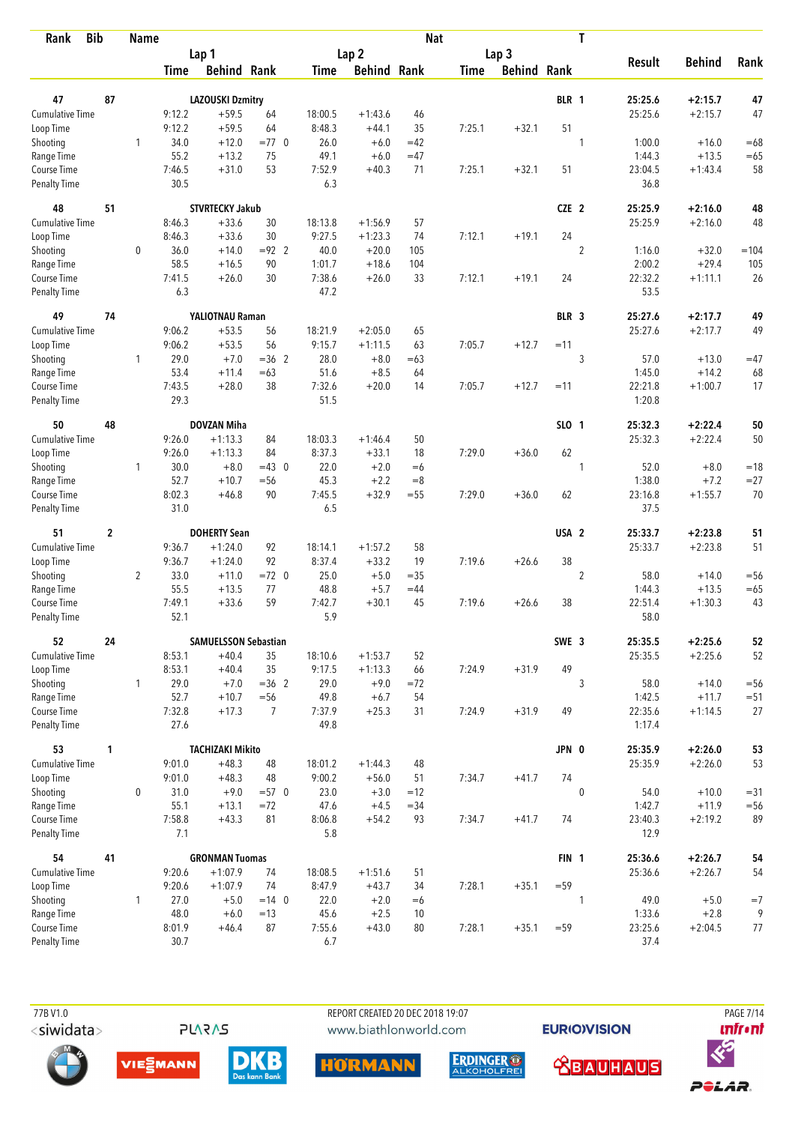| Rank                               | <b>Bib</b>  | <b>Name</b>    |                |                             |                  |                |                    | <b>Nat</b>   |             |                    |                  | T              |                   |                    |              |
|------------------------------------|-------------|----------------|----------------|-----------------------------|------------------|----------------|--------------------|--------------|-------------|--------------------|------------------|----------------|-------------------|--------------------|--------------|
|                                    |             |                |                | Lap 1                       |                  |                | Lap <sub>2</sub>   |              |             | Lap <sub>3</sub>   |                  |                |                   |                    |              |
|                                    |             |                | Time           | <b>Behind Rank</b>          |                  | Time           | <b>Behind Rank</b> |              | <b>Time</b> | <b>Behind Rank</b> |                  |                | <b>Result</b>     | <b>Behind</b>      | Rank         |
| 47                                 | 87          |                |                | <b>LAZOUSKI Dzmitry</b>     |                  |                |                    |              |             |                    | BLR 1            |                | 25:25.6           | $+2:15.7$          | 47           |
| <b>Cumulative Time</b>             |             |                | 9:12.2         | $+59.5$                     | 64               | 18:00.5        | $+1:43.6$          | 46           |             |                    |                  |                | 25:25.6           | $+2:15.7$          | 47           |
| Loop Time                          |             |                | 9:12.2         | $+59.5$                     | 64               | 8:48.3         | $+44.1$            | 35           | 7:25.1      | $+32.1$            | 51               |                |                   |                    |              |
| Shooting                           |             | 1              | 34.0           | $+12.0$                     | $=77$ 0          | 26.0           | $+6.0$             | $=42$        |             |                    |                  | 1              | 1:00.0            | $+16.0$            | $=68$        |
| Range Time                         |             |                | 55.2           | $+13.2$                     | 75               | 49.1           | $+6.0$             | $=47$        |             |                    |                  |                | 1:44.3            | $+13.5$            | $=65$        |
| Course Time                        |             |                | 7:46.5         | $+31.0$                     | 53               | 7:52.9         | $+40.3$            | 71           | 7:25.1      | $+32.1$            | 51               |                | 23:04.5           | $+1:43.4$          | 58           |
| <b>Penalty Time</b>                |             |                | 30.5           |                             |                  | 6.3            |                    |              |             |                    |                  |                | 36.8              |                    |              |
| 48                                 | 51          |                |                | <b>STVRTECKY Jakub</b>      |                  |                |                    |              |             |                    | CZE 2            |                | 25:25.9           | $+2:16.0$          | 48           |
| Cumulative Time                    |             |                | 8:46.3         | $+33.6$                     | 30               | 18:13.8        | $+1:56.9$          | 57           |             |                    |                  |                | 25:25.9           | $+2:16.0$          | 48           |
| Loop Time                          |             |                | 8:46.3         | $+33.6$                     | 30               | 9:27.5         | $+1:23.3$          | 74           | 7:12.1      | $+19.1$            | 24               |                |                   |                    |              |
| Shooting                           |             | 0              | 36.0           | $+14.0$                     | $= 92$ 2         | 40.0           | $+20.0$            | 105          |             |                    |                  | $\overline{2}$ | 1:16.0            | $+32.0$            | $=104$       |
| Range Time                         |             |                | 58.5           | $+16.5$                     | 90               | 1:01.7         | $+18.6$            | 104          |             |                    |                  |                | 2:00.2            | $+29.4$            | 105          |
| Course Time                        |             |                | 7:41.5         | $+26.0$                     | 30               | 7:38.6         | $+26.0$            | 33           | 7:12.1      | $+19.1$            | 24               |                | 22:32.2           | $+1:11.1$          | 26           |
| <b>Penalty Time</b>                |             |                | 6.3            |                             |                  | 47.2           |                    |              |             |                    |                  |                | 53.5              |                    |              |
| 49                                 | 74          |                |                | YALIOTNAU Raman             |                  |                |                    |              |             |                    | BLR 3            |                | 25:27.6           | $+2:17.7$          | 49           |
| <b>Cumulative Time</b>             |             |                | 9:06.2         | $+53.5$                     | 56               | 18:21.9        | $+2:05.0$          | 65           |             |                    |                  |                | 25:27.6           | $+2:17.7$          | 49           |
| Loop Time                          |             |                | 9:06.2         | $+53.5$                     | 56               | 9:15.7         | $+1:11.5$          | 63           | 7:05.7      | $+12.7$            | $=11$            |                |                   |                    |              |
| Shooting                           |             | 1              | 29.0           | $+7.0$                      | $=36$ 2          | 28.0           | $+8.0$             | $=63$        |             |                    |                  | $\sqrt{3}$     | 57.0              | $+13.0$            | $=47$        |
| Range Time                         |             |                | 53.4           | $+11.4$                     | $=63$            | 51.6           | $+8.5$             | 64           |             |                    |                  |                | 1:45.0            | $+14.2$            | 68           |
| Course Time<br><b>Penalty Time</b> |             |                | 7:43.5<br>29.3 | $+28.0$                     | 38               | 7:32.6<br>51.5 | $+20.0$            | 14           | 7:05.7      | $+12.7$            | $=11$            |                | 22:21.8<br>1:20.8 | $+1:00.7$          | 17           |
| 50                                 | 48          |                |                | <b>DOVZAN Miha</b>          |                  |                |                    |              |             |                    | SLO 1            |                | 25:32.3           | $+2:22.4$          | 50           |
| Cumulative Time                    |             |                | 9:26.0         | $+1:13.3$                   | 84               | 18:03.3        | $+1:46.4$          | 50           |             |                    |                  |                | 25:32.3           | $+2:22.4$          | 50           |
| Loop Time                          |             |                | 9:26.0         | $+1:13.3$                   | 84               | 8:37.3         | $+33.1$            | 18           | 7:29.0      | $+36.0$            | 62               |                |                   |                    |              |
| Shooting                           |             | $\mathbf{1}$   | 30.0           | $+8.0$                      | $=43$ 0          | 22.0           | $+2.0$             | $=6$         |             |                    |                  | 1              | 52.0              | $+8.0$             | $=18$        |
| Range Time                         |             |                | 52.7           | $+10.7$                     | $= 56$           | 45.3           | $+2.2$             | $=8$         |             |                    |                  |                | 1:38.0            | $+7.2$             | $= 27$       |
| Course Time                        |             |                | 8:02.3         | $+46.8$                     | 90               | 7:45.5         | $+32.9$            | $= 55$       | 7:29.0      | $+36.0$            | 62               |                | 23:16.8           | $+1:55.7$          | 70           |
| <b>Penalty Time</b>                |             |                | 31.0           |                             |                  | 6.5            |                    |              |             |                    |                  |                | 37.5              |                    |              |
| 51                                 | $\mathbf 2$ |                |                | <b>DOHERTY Sean</b>         |                  |                |                    |              |             |                    | USA <sub>2</sub> |                | 25:33.7           | $+2:23.8$          | 51           |
| <b>Cumulative Time</b>             |             |                | 9:36.7         | $+1:24.0$                   | 92               | 18:14.1        | $+1:57.2$          | 58           |             |                    |                  |                | 25:33.7           | $+2:23.8$          | 51           |
| Loop Time                          |             |                | 9:36.7         | $+1:24.0$                   | 92               | 8:37.4         | $+33.2$            | 19           | 7:19.6      | $+26.6$            | 38               |                |                   |                    |              |
| Shooting                           |             | $\overline{2}$ | 33.0           | $+11.0$                     | $=72$ 0          | 25.0           | $+5.0$             | $=35$        |             |                    |                  | $\overline{2}$ | 58.0              | $+14.0$            | $=$ 56       |
| Range Time                         |             |                | 55.5           | $+13.5$                     | 77               | 48.8           | $+5.7$             | $=44$        |             |                    |                  |                | 1:44.3            | $+13.5$            | $=65$        |
| Course Time                        |             |                | 7:49.1         | $+33.6$                     | 59               | 7:42.7         | $+30.1$            | 45           | 7:19.6      | $+26.6$            | 38               |                | 22:51.4           | $+1:30.3$          | 43           |
| <b>Penalty Time</b>                |             |                | 52.1           |                             |                  | 5.9            |                    |              |             |                    |                  |                | 58.0              |                    |              |
| 52                                 | 24          |                |                | <b>SAMUELSSON Sebastian</b> |                  |                |                    |              |             |                    | SWE 3            |                | 25:35.5           | $+2:25.6$          | 52           |
| Cumulative Time                    |             |                | 8:53.1         | $+40.4$                     | 35               | 18:10.6        | $+1:53.7$          | 52           |             |                    | 49               |                | 25:35.5           | $+2:25.6$          | 52           |
| Loop Time                          |             |                | 8:53.1         | $+40.4$                     | 35               | 9:17.5         | $+1:13.3$          | 66           | 7:24.9      | $+31.9$            |                  |                |                   |                    |              |
| Shooting                           |             | $\mathbf{1}$   | 29.0<br>52.7   | $+7.0$<br>$+10.7$           | $=36$ 2<br>$=56$ | 29.0           | $+9.0$             | $= 72$<br>54 |             |                    |                  | 3              | 58.0              | $+14.0$<br>$+11.7$ | $= 56$       |
| Range Time<br>Course Time          |             |                | 7:32.8         | $+17.3$                     | $\overline{7}$   | 49.8<br>7:37.9 | $+6.7$<br>$+25.3$  | 31           | 7:24.9      | $+31.9$            | 49               |                | 1:42.5<br>22:35.6 | $+1:14.5$          | $= 51$<br>27 |
| <b>Penalty Time</b>                |             |                | 27.6           |                             |                  | 49.8           |                    |              |             |                    |                  |                | 1:17.4            |                    |              |
| 53                                 | 1           |                |                | <b>TACHIZAKI Mikito</b>     |                  |                |                    |              |             |                    | JPN 0            |                | 25:35.9           | $+2:26.0$          | 53           |
| <b>Cumulative Time</b>             |             |                | 9:01.0         | $+48.3$                     | 48               | 18:01.2        | $+1:44.3$          | 48           |             |                    |                  |                | 25:35.9           | $+2:26.0$          | 53           |
| Loop Time                          |             |                | 9:01.0         | $+48.3$                     | 48               | 9:00.2         | $+56.0$            | 51           | 7:34.7      | $+41.7$            | 74               |                |                   |                    |              |
| Shooting                           |             | $\mathbf 0$    | 31.0           | $+9.0$                      | $= 570$          | 23.0           | $+3.0$             | $=12$        |             |                    |                  | $\mathbf 0$    | 54.0              | $+10.0$            | $= 31$       |
| Range Time                         |             |                | 55.1           | $+13.1$                     | $=72$            | 47.6           | $+4.5$             | $= 34$       |             |                    |                  |                | 1:42.7            | $+11.9$            | $=56$        |
| Course Time                        |             |                | 7:58.8         | $+43.3$                     | 81               | 8:06.8         | $+54.2$            | 93           | 7:34.7      | $+41.7$            | 74               |                | 23:40.3           | $+2:19.2$          | 89           |
| <b>Penalty Time</b>                |             |                | 7.1            |                             |                  | 5.8            |                    |              |             |                    |                  |                | 12.9              |                    |              |
| 54                                 | 41          |                |                | <b>GRONMAN Tuomas</b>       |                  |                |                    |              |             |                    | FIN <sub>1</sub> |                | 25:36.6           | $+2:26.7$          | 54           |
| Cumulative Time                    |             |                | 9:20.6         | $+1:07.9$                   | 74               | 18:08.5        | $+1:51.6$          | 51           |             |                    |                  |                | 25:36.6           | $+2:26.7$          | 54           |
| Loop Time                          |             |                | 9:20.6         | $+1:07.9$                   | 74               | 8:47.9         | $+43.7$            | 34           | 7:28.1      | $+35.1$            | $= 59$           |                |                   |                    |              |
| Shooting                           |             | 1              | 27.0           | $+5.0$                      | $= 14 \quad 0$   | 22.0           | $+2.0$             | $=6$         |             |                    |                  | 1              | 49.0              | $+5.0$             | $=7$         |
| Range Time                         |             |                | 48.0           | $+6.0$                      | $=13$            | 45.6           | $+2.5$             | 10           |             |                    |                  |                | 1:33.6            | $+2.8$             | 9            |
| Course Time                        |             |                | 8:01.9         | $+46.4$                     | 87               | 7:55.6         | $+43.0$            | 80           | 7:28.1      | $+35.1$            | $= 59$           |                | 23:25.6           | $+2:04.5$          | 77           |
| <b>Penalty Time</b>                |             |                | 30.7           |                             |                  | 6.7            |                    |              |             |                    |                  |                | 37.4              |                    |              |



**DKB** 

 77B V1.0 REPORT CREATED 20 DEC 2018 19:07 PAGE 7/14www.biathlonworld.com

HÖRMANN

**EURIOVISION** 

*<u><u>Infront</u>*</u>





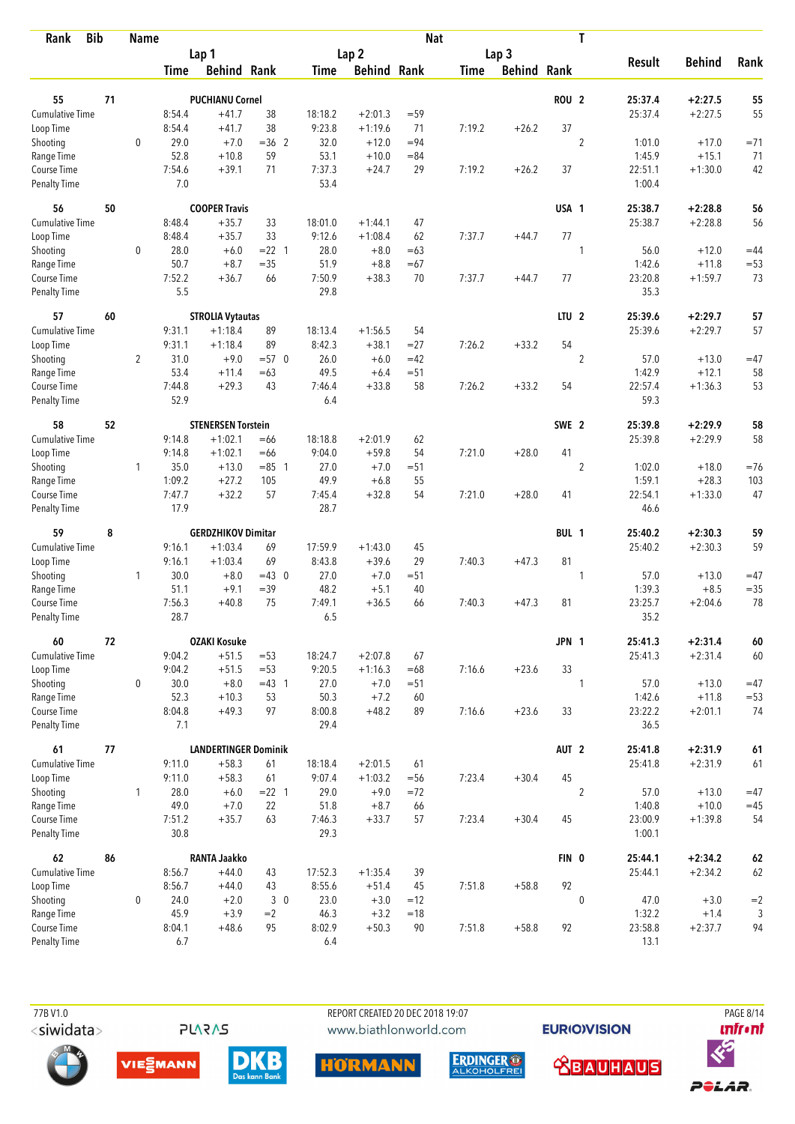| <b>Bib</b><br>Rank                 |    | <b>Name</b>    |                |                             |             |                |                    | <b>Nat</b> |             |                    |                  | T              |                 |                   |              |
|------------------------------------|----|----------------|----------------|-----------------------------|-------------|----------------|--------------------|------------|-------------|--------------------|------------------|----------------|-----------------|-------------------|--------------|
|                                    |    |                |                | Lap 1                       |             |                | Lap <sub>2</sub>   |            |             | Lap <sub>3</sub>   |                  |                |                 |                   |              |
|                                    |    |                | Time           | <b>Behind Rank</b>          |             | Time           | <b>Behind Rank</b> |            | <b>Time</b> | <b>Behind Rank</b> |                  |                | <b>Result</b>   | <b>Behind</b>     | Rank         |
| 55                                 | 71 |                |                | <b>PUCHIANU Cornel</b>      |             |                |                    |            |             |                    | <b>ROU 2</b>     |                | 25:37.4         | $+2:27.5$         | 55           |
| <b>Cumulative Time</b>             |    |                | 8:54.4         | $+41.7$                     | 38          | 18:18.2        | $+2:01.3$          | $= 59$     |             |                    |                  |                | 25:37.4         | $+2:27.5$         | 55           |
| Loop Time                          |    |                | 8:54.4         | $+41.7$                     | 38          | 9:23.8         | $+1:19.6$          | 71         | 7:19.2      | $+26.2$            | 37               |                |                 |                   |              |
| Shooting                           |    | $\mathbf 0$    | 29.0           | $+7.0$                      | $=36$ 2     | 32.0           | $+12.0$            | $= 94$     |             |                    |                  | $\overline{2}$ | 1:01.0          | $+17.0$           | $=71$        |
| Range Time                         |    |                | 52.8           | $+10.8$                     | 59          | 53.1           | $+10.0$            | $= 84$     |             |                    |                  |                | 1:45.9          | $+15.1$           | 71           |
| Course Time                        |    |                | 7:54.6         | $+39.1$                     | 71          | 7:37.3         | $+24.7$            | 29         | 7:19.2      | $+26.2$            | 37               |                | 22:51.1         | $+1:30.0$         | 42           |
| <b>Penalty Time</b>                |    |                | 7.0            |                             |             | 53.4           |                    |            |             |                    |                  |                | 1:00.4          |                   |              |
| 56                                 | 50 |                |                | <b>COOPER Travis</b>        |             |                |                    |            |             |                    | USA 1            |                | 25:38.7         | $+2:28.8$         | 56           |
| Cumulative Time                    |    |                | 8:48.4         | $+35.7$                     | 33          | 18:01.0        | $+1:44.1$          | 47         |             |                    |                  |                | 25:38.7         | $+2:28.8$         | 56           |
| Loop Time                          |    |                | 8:48.4         | $+35.7$                     | 33          | 9:12.6         | $+1:08.4$          | 62         | 7:37.7      | $+44.7$            | 77               |                |                 |                   |              |
| Shooting                           |    | 0              | 28.0           | $+6.0$                      | $= 22$ 1    | 28.0           | $+8.0$             | $=63$      |             |                    |                  | 1              | 56.0            | $+12.0$           | $=44$        |
| Range Time                         |    |                | 50.7           | $+8.7$                      | $= 35$      | 51.9           | $+8.8$             | $=67$      |             |                    |                  |                | 1:42.6          | $+11.8$           | $= 53$       |
| Course Time                        |    |                | 7:52.2         | $+36.7$                     | 66          | 7:50.9         | $+38.3$            | 70         | 7:37.7      | $+44.7$            | 77               |                | 23:20.8         | $+1:59.7$         | 73           |
| Penalty Time                       |    |                | 5.5            |                             |             | 29.8           |                    |            |             |                    |                  |                | 35.3            |                   |              |
| 57                                 | 60 |                |                | <b>STROLIA Vytautas</b>     |             |                |                    |            |             |                    | LTU <sub>2</sub> |                | 25:39.6         | $+2:29.7$         | 57           |
| <b>Cumulative Time</b>             |    |                | 9:31.1         | $+1:18.4$                   | 89          | 18:13.4        | $+1:56.5$          | 54         |             |                    |                  |                | 25:39.6         | $+2:29.7$         | 57           |
| Loop Time                          |    |                | 9:31.1         | $+1:18.4$                   | 89          | 8:42.3         | $+38.1$            | $= 27$     | 7:26.2      | $+33.2$            | 54               |                |                 |                   |              |
| Shooting                           |    | $\overline{2}$ | 31.0           | $+9.0$                      | $= 570$     | 26.0           | $+6.0$             | $=42$      |             |                    |                  | $\sqrt{2}$     | 57.0            | $+13.0$           | $=47$        |
| Range Time                         |    |                | 53.4           | $+11.4$                     | $=63$       | 49.5           | $+6.4$             | $= 51$     |             |                    |                  |                | 1:42.9          | $+12.1$           | 58           |
| Course Time<br>Penalty Time        |    |                | 7:44.8<br>52.9 | $+29.3$                     | 43          | 7:46.4<br>6.4  | $+33.8$            | 58         | 7:26.2      | $+33.2$            | 54               |                | 22:57.4<br>59.3 | $+1:36.3$         | 53           |
|                                    |    |                |                |                             |             |                |                    |            |             |                    |                  |                |                 |                   |              |
| 58                                 | 52 |                |                | <b>STENERSEN Torstein</b>   |             |                |                    |            |             |                    | SWE <sub>2</sub> |                | 25:39.8         | $+2:29.9$         | 58           |
| Cumulative Time                    |    |                | 9:14.8         | $+1:02.1$                   | $=66$       | 18:18.8        | $+2:01.9$          | 62         |             |                    |                  |                | 25:39.8         | $+2:29.9$         | 58           |
| Loop Time                          |    |                | 9:14.8         | $+1:02.1$                   | $=66$       | 9:04.0         | $+59.8$            | 54         | 7:21.0      | $+28.0$            | 41               |                |                 |                   |              |
| Shooting                           |    | 1              | 35.0           | $+13.0$                     | $= 85$ 1    | 27.0           | $+7.0$             | $= 51$     |             |                    |                  | $\overline{2}$ | 1:02.0          | $+18.0$           | $=76$        |
| Range Time                         |    |                | 1:09.2         | $+27.2$                     | 105         | 49.9           | $+6.8$             | 55         |             |                    |                  |                | 1:59.1          | $+28.3$           | 103          |
| Course Time<br><b>Penalty Time</b> |    |                | 7:47.7<br>17.9 | $+32.2$                     | 57          | 7:45.4<br>28.7 | $+32.8$            | 54         | 7:21.0      | $+28.0$            | 41               |                | 22:54.1<br>46.6 | $+1:33.0$         | 47           |
|                                    |    |                |                |                             |             |                |                    |            |             |                    |                  |                |                 |                   |              |
| 59                                 | 8  |                |                | <b>GERDZHIKOV Dimitar</b>   |             |                |                    |            |             |                    | BUL 1            |                | 25:40.2         | $+2:30.3$         | 59           |
| <b>Cumulative Time</b>             |    |                | 9:16.1         | $+1:03.4$                   | 69          | 17:59.9        | $+1:43.0$          | 45         |             |                    |                  |                | 25:40.2         | $+2:30.3$         | 59           |
| Loop Time                          |    |                | 9:16.1         | $+1:03.4$                   | 69          | 8:43.8         | $+39.6$            | 29         | 7:40.3      | $+47.3$            | 81               |                |                 |                   |              |
| Shooting                           |    | 1              | 30.0           | $+8.0$<br>$+9.1$            | $=43$ 0     | 27.0<br>48.2   | $+7.0$             | $=51$      |             |                    |                  | 1              | 57.0<br>1:39.3  | $+13.0$<br>$+8.5$ | $=47$        |
| Range Time                         |    |                | 51.1<br>7:56.3 |                             | $=39$<br>75 | 7:49.1         | $+5.1$             | 40<br>66   |             |                    |                  |                | 23:25.7         |                   | $= 35$<br>78 |
| Course Time<br><b>Penalty Time</b> |    |                | 28.7           | $+40.8$                     |             | 6.5            | $+36.5$            |            | 7:40.3      | $+47.3$            | 81               |                | 35.2            | $+2:04.6$         |              |
| 60                                 | 72 |                |                | <b>OZAKI Kosuke</b>         |             |                |                    |            |             |                    | JPN 1            |                | 25:41.3         | $+2:31.4$         | 60           |
| <b>Cumulative Time</b>             |    |                | 9:04.2         | $+51.5$                     | $= 53$      | 18:24.7        | $+2:07.8$          | 67         |             |                    |                  |                | 25:41.3         | $+2:31.4$         | 60           |
| Loop Time                          |    |                | 9:04.2         | $+51.5$                     | $= 53$      | 9:20.5         | $+1:16.3$          | $=68$      | 7:16.6      | $+23.6$            | 33               |                |                 |                   |              |
| Shooting                           |    | 0              | 30.0           | $+8.0$                      | $=43$ 1     | 27.0           | $+7.0$             | $= 51$     |             |                    |                  | 1              | 57.0            | $+13.0$           | $=47$        |
| Range Time                         |    |                | 52.3           | $+10.3$                     | 53          | 50.3           | $+7.2$             | 60         |             |                    |                  |                | 1:42.6          | $+11.8$           | $=53$        |
| Course Time                        |    |                | 8:04.8         | $+49.3$                     | 97          | 8:00.8         | $+48.2$            | 89         | 7:16.6      | $+23.6$            | 33               |                | 23:22.2         | $+2:01.1$         | 74           |
| Penalty Time                       |    |                | 7.1            |                             |             | 29.4           |                    |            |             |                    |                  |                | 36.5            |                   |              |
| 61                                 | 77 |                |                | <b>LANDERTINGER Dominik</b> |             |                |                    |            |             |                    | AUT <sub>2</sub> |                | 25:41.8         | $+2:31.9$         | 61           |
| <b>Cumulative Time</b>             |    |                | 9:11.0         | $+58.3$                     | 61          | 18:18.4        | $+2:01.5$          | 61         |             |                    |                  |                | 25:41.8         | $+2:31.9$         | 61           |
| Loop Time                          |    |                | 9:11.0         | $+58.3$                     | 61          | 9:07.4         | $+1:03.2$          | $=$ 56     | 7:23.4      | $+30.4$            | 45               |                |                 |                   |              |
| Shooting                           |    | $\mathbf{1}$   | 28.0           | $+6.0$                      | $= 22$ 1    | 29.0           | $+9.0$             | $=72$      |             |                    |                  | $\overline{2}$ | 57.0            | $+13.0$           | $=47$        |
| Range Time                         |    |                | 49.0           | $+7.0$                      | 22          | 51.8           | $+8.7$             | 66         |             |                    |                  |                | 1:40.8          | $+10.0$           | $=45$        |
| Course Time                        |    |                | 7:51.2         | $+35.7$                     | 63          | 7:46.3         | $+33.7$            | 57         | 7:23.4      | $+30.4$            | 45               |                | 23:00.9         | $+1:39.8$         | 54           |
| Penalty Time                       |    |                | 30.8           |                             |             | 29.3           |                    |            |             |                    |                  |                | 1:00.1          |                   |              |
| 62                                 | 86 |                |                | <b>RANTA Jaakko</b>         |             |                |                    |            |             |                    | FIN 0            |                | 25:44.1         | $+2:34.2$         | 62           |
| Cumulative Time                    |    |                | 8:56.7         | $+44.0$                     | 43          | 17:52.3        | $+1:35.4$          | 39         |             |                    |                  |                | 25:44.1         | $+2:34.2$         | 62           |
| Loop Time                          |    |                | 8:56.7         | $+44.0$                     | 43          | 8:55.6         | $+51.4$            | 45         | 7:51.8      | $+58.8$            | 92               |                |                 |                   |              |
| Shooting                           |    | 0              | 24.0           | $+2.0$                      | 30          | 23.0           | $+3.0$             | $=12$      |             |                    |                  | $\mathbf 0$    | 47.0            | $+3.0$            | $=2$         |
| Range Time                         |    |                | 45.9           | $+3.9$                      | $=2$        | 46.3           | $+3.2$             | $=18$      |             |                    |                  |                | 1:32.2          | $+1.4$            | 3            |
| Course Time                        |    |                | 8:04.1         | $+48.6$                     | 95          | 8:02.9         | $+50.3$            | 90         | 7:51.8      | $+58.8$            | 92               |                | 23:58.8         | $+2:37.7$         | 94           |
| <b>Penalty Time</b>                |    |                | 6.7            |                             |             | 6.4            |                    |            |             |                    |                  |                | 13.1            |                   |              |

 77B V1.0 REPORT CREATED 20 DEC 2018 19:07 PAGE 8/14www.biathlonworld.com

**EURIOVISION** 

*<u><u>Infront</u>*</u>











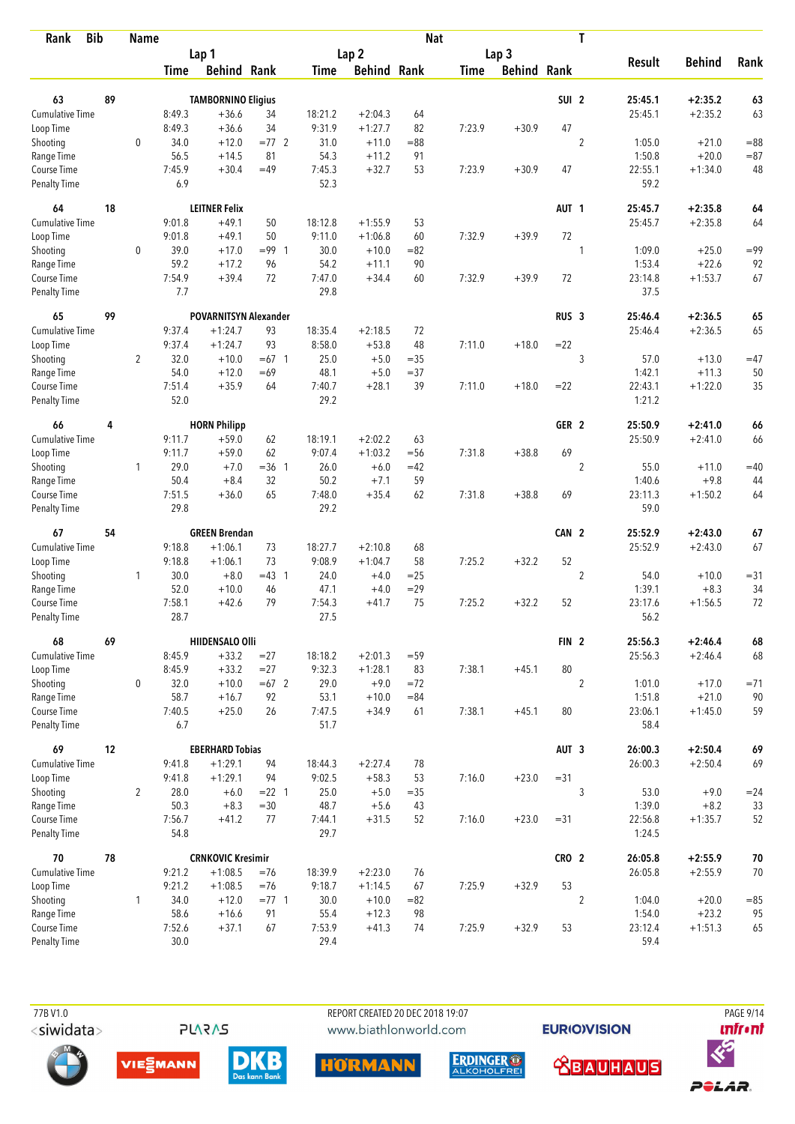| <b>Bib</b><br>Rank          |    | <b>Name</b>    |                |                              |               |                |                    | <b>Nat</b>   |             |                    |                  | T              |                   |                    |                  |
|-----------------------------|----|----------------|----------------|------------------------------|---------------|----------------|--------------------|--------------|-------------|--------------------|------------------|----------------|-------------------|--------------------|------------------|
|                             |    |                |                | Lap 1                        |               |                | Lap <sub>2</sub>   |              |             | Lap 3              |                  |                |                   |                    |                  |
|                             |    |                | <b>Time</b>    | <b>Behind Rank</b>           |               | <b>Time</b>    | <b>Behind Rank</b> |              | <b>Time</b> | <b>Behind Rank</b> |                  |                | <b>Result</b>     | <b>Behind</b>      | Rank             |
|                             |    |                |                |                              |               |                |                    |              |             |                    |                  |                |                   |                    |                  |
| 63                          | 89 |                |                | <b>TAMBORNINO Eligius</b>    |               |                |                    |              |             |                    | SUI <sub>2</sub> |                | 25:45.1           | $+2:35.2$          | 63               |
| Cumulative Time             |    |                | 8:49.3         | $+36.6$                      | 34            | 18:21.2        | $+2:04.3$          | 64           |             |                    | 47               |                | 25:45.1           | $+2:35.2$          | 63               |
| Loop Time                   |    |                | 8:49.3         | $+36.6$                      | 34            | 9:31.9         | $+1:27.7$          | 82           | 7:23.9      | $+30.9$            |                  |                |                   |                    |                  |
| Shooting                    |    | $\mathbf 0$    | 34.0<br>56.5   | $+12.0$                      | $=77$ 2<br>81 | 31.0           | $+11.0$            | $= 88$<br>91 |             |                    |                  | $\overline{2}$ | 1:05.0<br>1:50.8  | $+21.0$<br>$+20.0$ | $= 88$<br>$= 87$ |
| Range Time<br>Course Time   |    |                | 7:45.9         | $+14.5$<br>$+30.4$           | $=49$         | 54.3<br>7:45.3 | $+11.2$<br>$+32.7$ | 53           | 7:23.9      | $+30.9$            | 47               |                | 22:55.1           | $+1:34.0$          | 48               |
| <b>Penalty Time</b>         |    |                | 6.9            |                              |               | 52.3           |                    |              |             |                    |                  |                | 59.2              |                    |                  |
| 64                          | 18 |                |                | <b>LEITNER Felix</b>         |               |                |                    |              |             |                    | AUT <sub>1</sub> |                | 25:45.7           | $+2:35.8$          | 64               |
| <b>Cumulative Time</b>      |    |                | 9:01.8         | $+49.1$                      | 50            | 18:12.8        | $+1:55.9$          | 53           |             |                    |                  |                | 25:45.7           | $+2:35.8$          | 64               |
| Loop Time                   |    |                | 9:01.8         | $+49.1$                      | 50            | 9:11.0         | $+1:06.8$          | 60           | 7:32.9      | $+39.9$            | 72               |                |                   |                    |                  |
| Shooting                    |    | 0              | 39.0           | $+17.0$                      | $= 99$ 1      | 30.0           | $+10.0$            | $= 82$       |             |                    |                  | 1              | 1:09.0            | $+25.0$            | $= 99$           |
| Range Time                  |    |                | 59.2           | $+17.2$                      | 96            | 54.2           | $+11.1$            | 90           |             |                    |                  |                | 1:53.4            | $+22.6$            | 92               |
| Course Time                 |    |                | 7:54.9         | $+39.4$                      | 72            | 7:47.0         | $+34.4$            | 60           | 7:32.9      | $+39.9$            | 72               |                | 23:14.8           | $+1:53.7$          | 67               |
| <b>Penalty Time</b>         |    |                | 7.7            |                              |               | 29.8           |                    |              |             |                    |                  |                | 37.5              |                    |                  |
| 65                          | 99 |                |                | <b>POVARNITSYN Alexander</b> |               |                |                    |              |             |                    | RUS <sub>3</sub> |                | 25:46.4           | $+2:36.5$          | 65               |
| Cumulative Time             |    |                | 9:37.4         | $+1:24.7$                    | 93            | 18:35.4        | $+2:18.5$          | 72           |             |                    |                  |                | 25:46.4           | $+2:36.5$          | 65               |
| Loop Time                   |    |                | 9:37.4         | $+1:24.7$                    | 93            | 8:58.0         | $+53.8$            | 48           | 7:11.0      | $+18.0$            | $=22$            |                |                   |                    |                  |
| Shooting                    |    | $\overline{2}$ | 32.0           | $+10.0$                      | $=67$ 1       | 25.0           | $+5.0$             | $=35$        |             |                    |                  | 3              | 57.0              | $+13.0$            | $=47$            |
| Range Time                  |    |                | 54.0           | $+12.0$                      | $=69$         | 48.1           | $+5.0$             | $= 37$       |             |                    |                  |                | 1:42.1            | $+11.3$            | 50               |
| Course Time                 |    |                | 7:51.4         | $+35.9$                      | 64            | 7:40.7         | $+28.1$            | 39           | 7:11.0      | $+18.0$            | $=22$            |                | 22:43.1           | $+1:22.0$          | 35               |
| <b>Penalty Time</b>         |    |                | 52.0           |                              |               | 29.2           |                    |              |             |                    |                  |                | 1:21.2            |                    |                  |
| 66                          | 4  |                |                | <b>HORN Philipp</b>          |               |                |                    |              |             |                    | GER <sub>2</sub> |                | 25:50.9           | $+2:41.0$          | 66               |
| Cumulative Time             |    |                | 9:11.7         | $+59.0$                      | 62            | 18:19.1        | $+2:02.2$          | 63           |             |                    |                  |                | 25:50.9           | $+2:41.0$          | 66               |
| Loop Time                   |    |                | 9:11.7         | $+59.0$                      | 62            | 9:07.4         | $+1:03.2$          | $= 56$       | 7:31.8      | $+38.8$            | 69               |                |                   |                    |                  |
| Shooting                    |    | $\mathbf{1}$   | 29.0           | $+7.0$                       | $=36$ 1       | 26.0           | $+6.0$             | $=42$        |             |                    |                  | $\overline{2}$ | 55.0              | $+11.0$            | $=40$            |
| Range Time                  |    |                | 50.4           | $+8.4$                       | 32            | 50.2           | $+7.1$             | 59           |             |                    |                  |                | 1:40.6            | $+9.8$             | 44               |
| Course Time                 |    |                | 7:51.5         | $+36.0$                      | 65            | 7:48.0         | $+35.4$            | 62           | 7:31.8      | $+38.8$            | 69               |                | 23:11.3           | $+1:50.2$          | 64               |
| <b>Penalty Time</b>         |    |                | 29.8           |                              |               | 29.2           |                    |              |             |                    |                  |                | 59.0              |                    |                  |
| 67                          | 54 |                |                | <b>GREEN Brendan</b>         |               |                |                    |              |             |                    | CAN 2            |                | 25:52.9           | $+2:43.0$          | 67               |
| <b>Cumulative Time</b>      |    |                | 9:18.8         | $+1:06.1$                    | 73            | 18:27.7        | $+2:10.8$          | 68           |             |                    |                  |                | 25:52.9           | $+2:43.0$          | 67               |
| Loop Time                   |    |                | 9:18.8         | $+1:06.1$                    | 73            | 9:08.9         | $+1:04.7$          | 58           | 7:25.2      | $+32.2$            | 52               |                |                   |                    |                  |
| Shooting                    |    | $\mathbf{1}$   | 30.0           | $+8.0$                       | $=43$ 1       | 24.0           | $+4.0$             | $=25$        |             |                    |                  | $\overline{2}$ | 54.0              | $+10.0$            | $= 31$           |
| Range Time                  |    |                | 52.0           | $+10.0$                      | 46            | 47.1           | $+4.0$             | $=29$        |             |                    |                  |                | 1:39.1            | $+8.3$             | 34               |
| Course Time                 |    |                | 7:58.1         | $+42.6$                      | 79            | 7:54.3         | $+41.7$            | 75           | 7:25.2      | $+32.2$            | 52               |                | 23:17.6           | $+1:56.5$          | 72               |
| <b>Penalty Time</b>         |    |                | 28.7           |                              |               | 27.5           |                    |              |             |                    |                  |                | 56.2              |                    |                  |
| 68                          | 69 |                |                | HIIDENSALO Olli              |               |                |                    |              |             |                    | FIN <sub>2</sub> |                | 25:56.3           | $+2:46.4$          | 68               |
| <b>Cumulative Time</b>      |    |                | 8:45.9         | $+33.2$                      | $= 27$        | 18:18.2        | $+2:01.3$          | $= 59$       |             |                    |                  |                | 25:56.3           | $+2:46.4$          | 68               |
| Loop Time                   |    |                | 8:45.9         | $+33.2$                      | $= 27$        | 9:32.3         | $+1:28.1$          | 83           | 7:38.1      | $+45.1$            | 80               |                |                   |                    |                  |
| Shooting                    |    | 0              | 32.0           | $+10.0$                      | $=67$ 2       | 29.0           | $+9.0$             | $= 72$       |             |                    |                  | $\overline{2}$ | 1:01.0            | $+17.0$            | $= 71$           |
| Range Time                  |    |                | 58.7           | $+16.7$                      | 92            | 53.1           | $+10.0$            | $= 84$       |             |                    |                  |                | 1:51.8            | $+21.0$            | 90               |
| Course Time<br>Penalty Time |    |                | 7:40.5<br>6.7  | $+25.0$                      | 26            | 7:47.5<br>51.7 | $+34.9$            | 61           | 7:38.1      | $+45.1$            | 80               |                | 23:06.1<br>58.4   | $+1:45.0$          | 59               |
|                             |    |                |                |                              |               |                |                    |              |             |                    |                  |                |                   |                    |                  |
| 69                          | 12 |                |                | <b>EBERHARD Tobias</b>       |               |                |                    |              |             |                    | AUT <sub>3</sub> |                | 26:00.3           | $+2:50.4$          | 69               |
| <b>Cumulative Time</b>      |    |                | 9:41.8         | $+1:29.1$                    | 94            | 18:44.3        | $+2:27.4$          | 78           |             |                    |                  |                | 26:00.3           | $+2:50.4$          | 69               |
| Loop Time                   |    |                | 9:41.8         | $+1:29.1$                    | 94            | 9:02.5         | $+58.3$            | 53           | 7:16.0      | $+23.0$            | $= 31$           |                |                   |                    |                  |
| Shooting                    |    | $\overline{2}$ | 28.0           | $+6.0$                       | $= 22$ 1      | 25.0           | $+5.0$             | $=35$        |             |                    |                  | 3              | 53.0              | $+9.0$             | $= 24$           |
| Range Time                  |    |                | 50.3           | $+8.3$                       | $= 30$        | 48.7           | $+5.6$             | 43           |             |                    |                  |                | 1:39.0            | $+8.2$             | 33               |
| Course Time<br>Penalty Time |    |                | 7:56.7<br>54.8 | $+41.2$                      | 77            | 7:44.1<br>29.7 | $+31.5$            | 52           | 7:16.0      | $+23.0$            | $= 31$           |                | 22:56.8<br>1:24.5 | $+1:35.7$          | 52               |
| 70                          | 78 |                |                | <b>CRNKOVIC Kresimir</b>     |               |                |                    |              |             |                    | CRO <sub>2</sub> |                | 26:05.8           | $+2:55.9$          | 70               |
| <b>Cumulative Time</b>      |    |                | 9:21.2         | $+1:08.5$                    | $=76$         | 18:39.9        | $+2:23.0$          | 76           |             |                    |                  |                | 26:05.8           | $+2:55.9$          | 70               |
| Loop Time                   |    |                | 9:21.2         | $+1:08.5$                    | $=76$         | 9:18.7         | $+1:14.5$          | 67           | 7:25.9      | $+32.9$            | 53               |                |                   |                    |                  |
| Shooting                    |    | 1              | 34.0           | $+12.0$                      | $= 77$ 1      | 30.0           | $+10.0$            | $= 82$       |             |                    |                  | $\overline{2}$ | 1:04.0            | $+20.0$            | $= 85$           |
| Range Time                  |    |                | 58.6           | $+16.6$                      | 91            | 55.4           | $+12.3$            | 98           |             |                    |                  |                | 1:54.0            | $+23.2$            | 95               |
| Course Time                 |    |                | 7:52.6         | $+37.1$                      | 67            | 7:53.9         | $+41.3$            | 74           | 7:25.9      | $+32.9$            | 53               |                | 23:12.4           | $+1:51.3$          | 65               |
| Penalty Time                |    |                | 30.0           |                              |               | 29.4           |                    |              |             |                    |                  |                | 59.4              |                    |                  |







ERDINGER O

**EURIOVISION** 

**<u> XBAUHAUS</u>** 

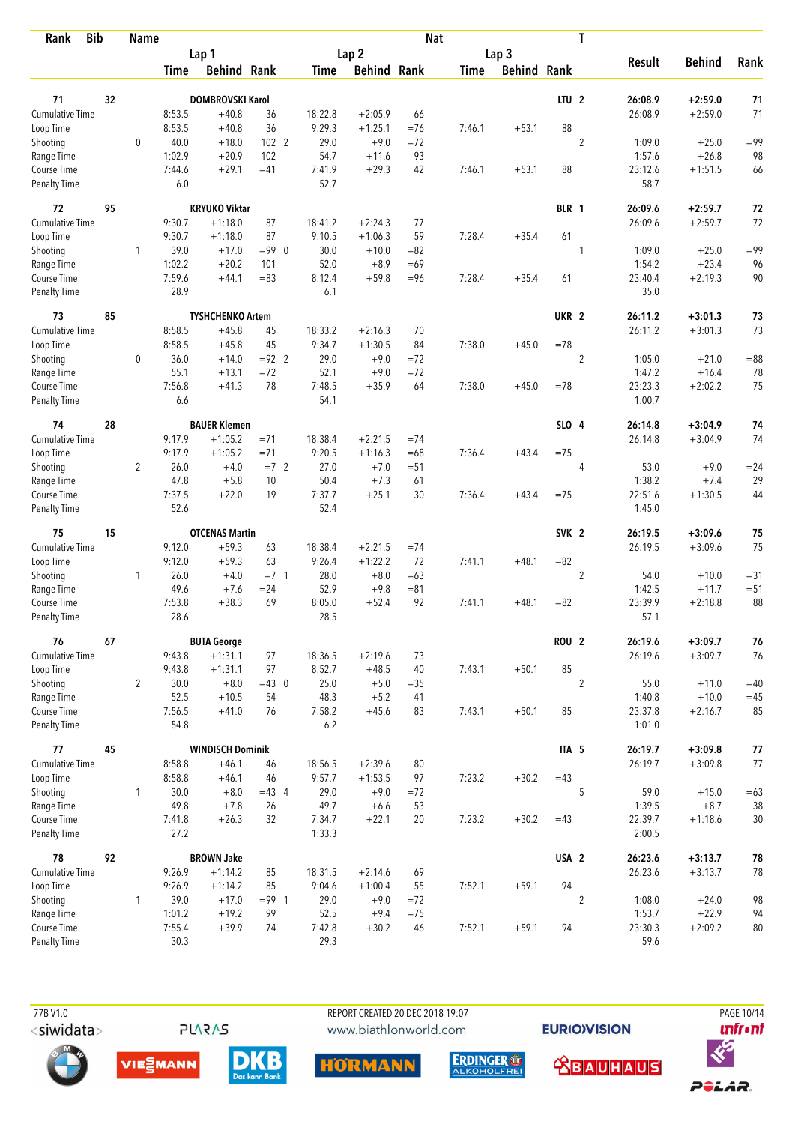| <b>Bib</b><br>Rank          |    | <b>Name</b>    |                |                         |               |               |                    | <b>Nat</b> |             |                    |                  | T                |                   |               |        |
|-----------------------------|----|----------------|----------------|-------------------------|---------------|---------------|--------------------|------------|-------------|--------------------|------------------|------------------|-------------------|---------------|--------|
|                             |    |                |                | Lap 1                   |               |               | Lap <sub>2</sub>   |            |             | Lap 3              |                  |                  |                   |               |        |
|                             |    |                | Time           | <b>Behind Rank</b>      |               | Time          | <b>Behind Rank</b> |            | <b>Time</b> | <b>Behind Rank</b> |                  |                  | <b>Result</b>     | <b>Behind</b> | Rank   |
| 71                          | 32 |                |                | <b>DOMBROVSKI Karol</b> |               |               |                    |            |             |                    | LTU <sub>2</sub> |                  | 26:08.9           | $+2:59.0$     | 71     |
| <b>Cumulative Time</b>      |    |                | 8:53.5         | $+40.8$                 | 36            | 18:22.8       | $+2:05.9$          | 66         |             |                    |                  |                  | 26:08.9           | $+2:59.0$     | 71     |
| Loop Time                   |    |                | 8:53.5         | $+40.8$                 | 36            | 9:29.3        | $+1:25.1$          | $=76$      | 7:46.1      | $+53.1$            | 88               |                  |                   |               |        |
| Shooting                    |    | $\mathbf 0$    | 40.0           | $+18.0$                 | 102 2         | 29.0          | $+9.0$             | $=72$      |             |                    |                  | $\overline{2}$   | 1:09.0            | $+25.0$       | $= 99$ |
| Range Time                  |    |                | 1:02.9         | $+20.9$                 | 102           | 54.7          | $+11.6$            | 93         |             |                    |                  |                  | 1:57.6            | $+26.8$       | 98     |
| Course Time                 |    |                | 7:44.6         | $+29.1$                 | $=41$         | 7:41.9        | $+29.3$            | 42         | 7:46.1      | $+53.1$            | 88               |                  | 23:12.6           | $+1:51.5$     | 66     |
| <b>Penalty Time</b>         |    |                | 6.0            |                         |               | 52.7          |                    |            |             |                    |                  |                  | 58.7              |               |        |
| 72                          | 95 |                |                | <b>KRYUKO Viktar</b>    |               |               |                    |            |             |                    | BLR 1            |                  | 26:09.6           | $+2:59.7$     | 72     |
| Cumulative Time             |    |                | 9:30.7         | $+1:18.0$               | 87            | 18:41.2       | $+2:24.3$          | 77         |             |                    |                  |                  | 26:09.6           | $+2:59.7$     | 72     |
| Loop Time                   |    |                | 9:30.7         | $+1:18.0$               | 87            | 9:10.5        | $+1:06.3$          | 59         | 7:28.4      | $+35.4$            | 61               |                  |                   |               |        |
| Shooting                    |    | 1              | 39.0           | $+17.0$                 | $= 990$       | 30.0          | $+10.0$            | $= 82$     |             |                    |                  | 1                | 1:09.0            | $+25.0$       | $= 99$ |
| Range Time                  |    |                | 1:02.2         | $+20.2$                 | 101           | 52.0          | $+8.9$             | $=69$      |             |                    |                  |                  | 1:54.2            | $+23.4$       | 96     |
| Course Time                 |    |                | 7:59.6         | $+44.1$                 | $=83$         | 8:12.4        | $+59.8$            | $= 96$     | 7:28.4      | $+35.4$            | 61               |                  | 23:40.4           | $+2:19.3$     | 90     |
| Penalty Time                |    |                | 28.9           |                         |               | 6.1           |                    |            |             |                    |                  |                  | 35.0              |               |        |
| 73                          | 85 |                |                | <b>TYSHCHENKO Artem</b> |               |               |                    |            |             |                    | UKR <sub>2</sub> |                  | 26:11.2           | $+3:01.3$     | 73     |
| <b>Cumulative Time</b>      |    |                | 8:58.5         | $+45.8$                 | 45            | 18:33.2       | $+2:16.3$          | 70         |             |                    |                  |                  | 26:11.2           | $+3:01.3$     | 73     |
| Loop Time                   |    |                | 8:58.5         | $+45.8$                 | 45            | 9:34.7        | $+1:30.5$          | 84         | 7:38.0      | $+45.0$            | $=78$            |                  |                   |               |        |
| Shooting                    |    | $\mathbf 0$    | 36.0           | $+14.0$                 | $= 92$ 2      | 29.0          | $+9.0$             | $=72$      |             |                    |                  | $\boldsymbol{2}$ | 1:05.0            | $+21.0$       | $= 88$ |
| Range Time                  |    |                | 55.1           | $+13.1$                 | $= 72$        | 52.1          | $+9.0$             | $= 72$     |             |                    |                  |                  | 1:47.2            | $+16.4$       | 78     |
| Course Time                 |    |                | 7:56.8         | $+41.3$                 | 78            | 7:48.5        | $+35.9$            | 64         | 7:38.0      | $+45.0$            | $=78$            |                  | 23:23.3           | $+2:02.2$     | 75     |
| <b>Penalty Time</b>         |    |                | 6.6            |                         |               | 54.1          |                    |            |             |                    |                  |                  | 1:00.7            |               |        |
| 74                          | 28 |                |                | <b>BAUER Klemen</b>     |               |               |                    |            |             |                    | SLO 4            |                  | 26:14.8           | $+3:04.9$     | 74     |
| <b>Cumulative Time</b>      |    |                | 9:17.9         | $+1:05.2$               | $= 71$        | 18:38.4       | $+2:21.5$          | $=74$      |             |                    |                  |                  | 26:14.8           | $+3:04.9$     | 74     |
| Loop Time                   |    |                | 9:17.9         | $+1:05.2$               | $= 71$        | 9:20.5        | $+1:16.3$          | $=68$      | 7:36.4      | $+43.4$            | $=75$            |                  |                   |               |        |
| Shooting                    |    | $\overline{2}$ | 26.0           | $+4.0$                  | $=7$ 2        | 27.0          | $+7.0$             | $= 51$     |             |                    |                  | 4                | 53.0              | $+9.0$        | $= 24$ |
| Range Time                  |    |                | 47.8           | $+5.8$                  | 10            | 50.4          | $+7.3$             | 61         |             |                    |                  |                  | 1:38.2            | $+7.4$        | 29     |
| Course Time                 |    |                | 7:37.5         | $+22.0$                 | 19            | 7:37.7        | $+25.1$            | 30         | 7:36.4      | $+43.4$            | $= 75$           |                  | 22:51.6           | $+1:30.5$     | 44     |
| <b>Penalty Time</b>         |    |                | 52.6           |                         |               | 52.4          |                    |            |             |                    |                  |                  | 1:45.0            |               |        |
| 75                          | 15 |                |                | <b>OTCENAS Martin</b>   |               |               |                    |            |             |                    | SVK <sub>2</sub> |                  | 26:19.5           | $+3:09.6$     | 75     |
| <b>Cumulative Time</b>      |    |                | 9:12.0         | $+59.3$                 | 63            | 18:38.4       | $+2:21.5$          | $=74$      |             |                    |                  |                  | 26:19.5           | $+3:09.6$     | 75     |
| Loop Time                   |    |                | 9:12.0         | $+59.3$                 | 63            | 9:26.4        | $+1:22.2$          | 72         | 7:41.1      | $+48.1$            | $= 82$           |                  |                   |               |        |
| Shooting                    |    | 1              | 26.0           | $+4.0$                  | $= 7 \quad 1$ | 28.0          | $+8.0$             | $=63$      |             |                    |                  | $\overline{2}$   | 54.0              | $+10.0$       | $= 31$ |
| Range Time                  |    |                | 49.6           | $+7.6$                  | $= 24$        | 52.9          | $+9.8$             | $= 81$     |             |                    |                  |                  | 1:42.5            | $+11.7$       | $= 51$ |
| Course Time                 |    |                | 7:53.8         | $+38.3$                 | 69            | 8:05.0        | $+52.4$            | 92         | 7:41.1      | $+48.1$            | $= 82$           |                  | 23:39.9           | $+2:18.8$     | 88     |
| <b>Penalty Time</b>         |    |                | 28.6           |                         |               | 28.5          |                    |            |             |                    |                  |                  | 57.1              |               |        |
| 76                          | 67 |                |                | <b>BUTA George</b>      |               |               |                    |            |             |                    | ROU <sub>2</sub> |                  | 26:19.6           | $+3:09.7$     | 76     |
| Cumulative Time             |    |                | 9:43.8         | $+1:31.1$               | 97            | 18:36.5       | $+2:19.6$          | 73         |             |                    |                  |                  | 26:19.6           | $+3:09.7$     | 76     |
| Loop Time                   |    |                | 9:43.8         | $+1:31.1$               | 97            | 8:52.7        | $+48.5$            | 40         | 7:43.1      | $+50.1$            | 85               |                  |                   |               |        |
| Shooting                    |    | $\overline{2}$ | 30.0           | $+8.0$                  | $=43$ 0       | 25.0          | $+5.0$             | $= 35$     |             |                    |                  | $\overline{2}$   | 55.0              | $+11.0$       | $=40$  |
| Range Time                  |    |                | 52.5           | $+10.5$                 | 54            | 48.3          | $+5.2$             | 41         |             |                    |                  |                  | 1:40.8            | $+10.0$       | $=45$  |
| Course Time<br>Penalty Time |    |                | 7:56.5<br>54.8 | $+41.0$                 | 76            | 7:58.2<br>6.2 | $+45.6$            | 83         | 7:43.1      | $+50.1$            | 85               |                  | 23:37.8<br>1:01.0 | $+2:16.7$     | 85     |
| 77                          | 45 |                |                | <b>WINDISCH Dominik</b> |               |               |                    |            |             |                    | ITA <sub>5</sub> |                  | 26:19.7           | $+3:09.8$     | 77     |
| <b>Cumulative Time</b>      |    |                | 8:58.8         | $+46.1$                 | 46            | 18:56.5       | $+2:39.6$          | 80         |             |                    |                  |                  | 26:19.7           | $+3:09.8$     | 77     |
| Loop Time                   |    |                | 8:58.8         | $+46.1$                 | 46            | 9:57.7        | $+1:53.5$          | 97         | 7:23.2      | $+30.2$            | $=43$            |                  |                   |               |        |
| Shooting                    |    | $\mathbf{1}$   | 30.0           | $+8.0$                  | $=43$ 4       | 29.0          | $+9.0$             | $= 72$     |             |                    |                  | 5                | 59.0              | $+15.0$       | $=63$  |
| Range Time                  |    |                | 49.8           | $+7.8$                  | 26            | 49.7          | $+6.6$             | 53         |             |                    |                  |                  | 1:39.5            | $+8.7$        | 38     |
| Course Time                 |    |                | 7:41.8         | $+26.3$                 | 32            | 7:34.7        | $+22.1$            | 20         | 7:23.2      | $+30.2$            | $=43$            |                  | 22:39.7           | $+1:18.6$     | 30     |
| Penalty Time                |    |                | 27.2           |                         |               | 1:33.3        |                    |            |             |                    |                  |                  | 2:00.5            |               |        |
| 78                          | 92 |                |                | <b>BROWN Jake</b>       |               |               |                    |            |             |                    | USA <sub>2</sub> |                  | 26:23.6           | $+3:13.7$     | 78     |
| Cumulative Time             |    |                | 9:26.9         | $+1:14.2$               | 85            | 18:31.5       | $+2:14.6$          | 69         |             |                    |                  |                  | 26:23.6           | $+3:13.7$     | 78     |
| Loop Time                   |    |                | 9:26.9         | $+1:14.2$               | 85            | 9:04.6        | $+1:00.4$          | 55         | 7:52.1      | $+59.1$            | 94               |                  |                   |               |        |
| Shooting                    |    | 1              | 39.0           | $+17.0$                 | $= 99$ 1      | 29.0          | $+9.0$             | $= 72$     |             |                    |                  | $\boldsymbol{2}$ | 1:08.0            | $+24.0$       | 98     |
| Range Time                  |    |                | 1:01.2         | $+19.2$                 | 99            | 52.5          | $+9.4$             | $=75$      |             |                    |                  |                  | 1:53.7            | $+22.9$       | 94     |
| Course Time                 |    |                | 7:55.4         | $+39.9$                 | 74            | 7:42.8        | $+30.2$            | 46         | 7:52.1      | $+59.1$            | 94               |                  | 23:30.3           | $+2:09.2$     | $80\,$ |
| Penalty Time                |    |                | 30.3           |                         |               | 29.3          |                    |            |             |                    |                  |                  | 59.6              |               |        |



**EURIOVISION** 











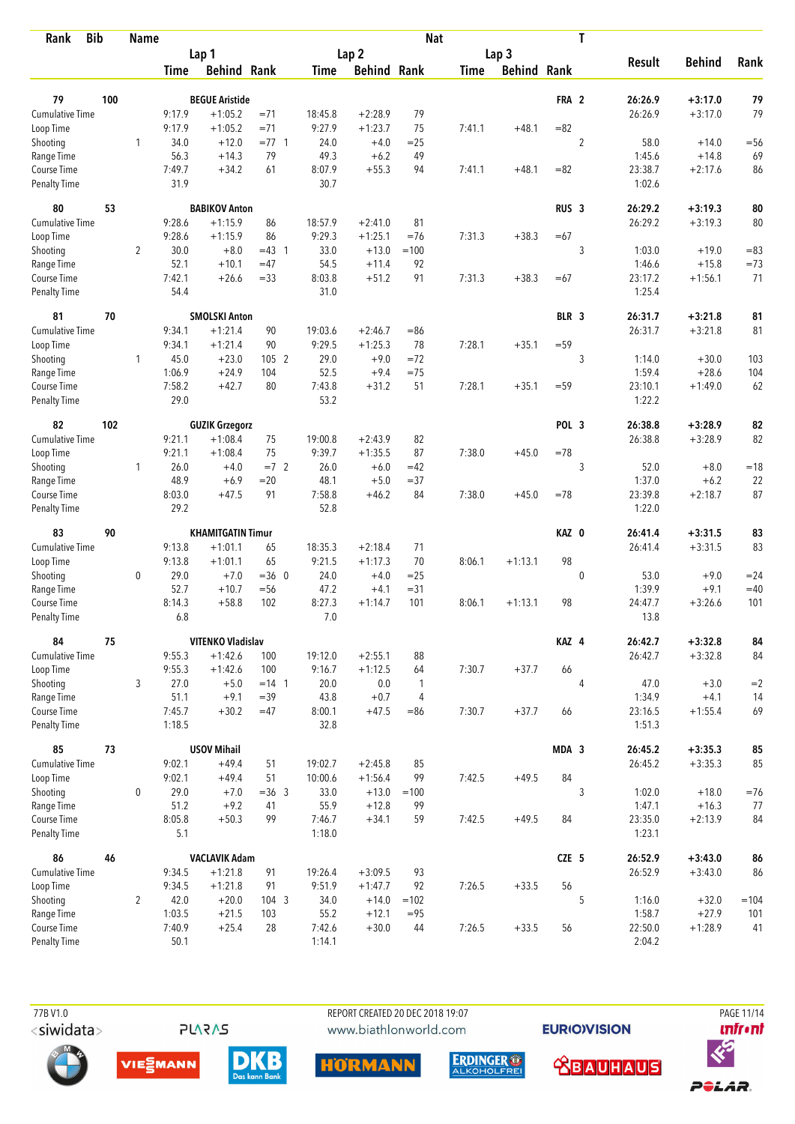| <b>Bib</b><br>Rank          |     | <b>Name</b>    |                |                                       |                |                  |                    | <b>Nat</b>     |             |                    |                  | T              |                    |                        |           |
|-----------------------------|-----|----------------|----------------|---------------------------------------|----------------|------------------|--------------------|----------------|-------------|--------------------|------------------|----------------|--------------------|------------------------|-----------|
|                             |     |                |                | Lap 1                                 |                |                  | Lap <sub>2</sub>   |                |             | Lap <sub>3</sub>   |                  |                |                    |                        |           |
|                             |     |                | Time           | <b>Behind Rank</b>                    |                | Time             | <b>Behind Rank</b> |                | <b>Time</b> | <b>Behind Rank</b> |                  |                | <b>Result</b>      | <b>Behind</b>          | Rank      |
| 79                          | 100 |                |                | <b>BEGUE Aristide</b>                 |                |                  |                    |                |             |                    | FRA 2            |                | 26:26.9            | $+3:17.0$              | 79        |
| <b>Cumulative Time</b>      |     |                | 9:17.9         | $+1:05.2$                             | $= 71$         | 18:45.8          | $+2:28.9$          | 79             |             |                    |                  |                | 26:26.9            | $+3:17.0$              | 79        |
| Loop Time                   |     |                | 9:17.9         | $+1:05.2$                             | $= 71$         | 9:27.9           | $+1:23.7$          | 75             | 7:41.1      | $+48.1$            | $= 82$           |                |                    |                        |           |
| Shooting                    |     | 1              | 34.0           | $+12.0$                               | $= 77.1$       | 24.0             | $+4.0$             | $=25$          |             |                    |                  | $\overline{2}$ | 58.0               | $+14.0$                | $=$ 56    |
| Range Time                  |     |                | 56.3           | $+14.3$                               | 79             | 49.3             | $+6.2$             | 49             |             |                    |                  |                | 1:45.6             | $+14.8$                | 69        |
| Course Time                 |     |                | 7:49.7         | $+34.2$                               | 61             | 8:07.9           | $+55.3$            | 94             | 7:41.1      | $+48.1$            | $= 82$           |                | 23:38.7            | $+2:17.6$              | 86        |
| <b>Penalty Time</b>         |     |                | 31.9           |                                       |                | 30.7             |                    |                |             |                    |                  |                | 1:02.6             |                        |           |
| 80                          | 53  |                |                | <b>BABIKOV Anton</b>                  |                |                  |                    |                |             |                    | RUS <sub>3</sub> |                | 26:29.2            | $+3:19.3$              | 80        |
| Cumulative Time             |     |                | 9:28.6         | $+1:15.9$                             | 86             | 18:57.9          | $+2:41.0$          | 81             |             |                    |                  |                | 26:29.2            | $+3:19.3$              | 80        |
| Loop Time                   |     |                | 9:28.6         | $+1:15.9$                             | 86             | 9:29.3           | $+1:25.1$          | $= 76$         | 7:31.3      | $+38.3$            | $=67$            |                |                    |                        |           |
| Shooting                    |     | $\overline{2}$ | 30.0           | $+8.0$                                | $=43$ 1        | 33.0             | $+13.0$            | $=100$         |             |                    |                  | 3              | 1:03.0             | $+19.0$                | $= 83$    |
| Range Time                  |     |                | 52.1           | $+10.1$                               | $=47$          | 54.5             | $+11.4$            | 92             |             |                    |                  |                | 1:46.6             | $+15.8$                | $=73$     |
| Course Time                 |     |                | 7:42.1         | $+26.6$                               | $= 33$         | 8:03.8           | $+51.2$            | 91             | 7:31.3      | $+38.3$            | $=67$            |                | 23:17.2            | $+1:56.1$              | 71        |
| Penalty Time                |     |                | 54.4           |                                       |                | 31.0             |                    |                |             |                    |                  |                | 1:25.4             |                        |           |
| 81                          | 70  |                |                | <b>SMOLSKI Anton</b>                  |                |                  |                    |                |             |                    | BLR 3            |                | 26:31.7            | $+3:21.8$              | 81        |
| Cumulative Time             |     |                | 9:34.1         | $+1:21.4$                             | 90             | 19:03.6          | $+2:46.7$          | $= 86$         |             |                    |                  |                | 26:31.7            | $+3:21.8$              | 81        |
| Loop Time                   |     |                | 9:34.1         | $+1:21.4$                             | 90             | 9:29.5           | $+1:25.3$          | 78             | 7:28.1      | $+35.1$            | $= 59$           |                |                    |                        |           |
| Shooting                    |     | 1              | 45.0<br>1:06.9 | $+23.0$<br>$+24.9$                    | 1052           | 29.0<br>52.5     | $+9.0$<br>$+9.4$   | $=72$          |             |                    |                  | 3              | 1:14.0             | $+30.0$<br>$+28.6$     | 103       |
| Range Time<br>Course Time   |     |                | 7:58.2         | $+42.7$                               | 104<br>80      | 7:43.8           | $+31.2$            | $= 75$<br>51   | 7:28.1      | $+35.1$            | $= 59$           |                | 1:59.4<br>23:10.1  | $+1:49.0$              | 104<br>62 |
| Penalty Time                |     |                | 29.0           |                                       |                | 53.2             |                    |                |             |                    |                  |                | 1:22.2             |                        |           |
| 82                          | 102 |                |                | <b>GUZIK Grzegorz</b>                 |                |                  |                    |                |             |                    | POL 3            |                | 26:38.8            | $+3:28.9$              | 82        |
| <b>Cumulative Time</b>      |     |                | 9:21.1         | $+1:08.4$                             | 75             | 19:00.8          | $+2:43.9$          | 82             |             |                    |                  |                | 26:38.8            | $+3:28.9$              | 82        |
| Loop Time                   |     |                | 9:21.1         | $+1:08.4$                             | 75             | 9:39.7           | $+1:35.5$          | 87             | 7:38.0      | $+45.0$            | $=78$            |                |                    |                        |           |
| Shooting                    |     | $\mathbf{1}$   | 26.0           | $+4.0$                                | $=7$ 2         | 26.0             | $+6.0$             | $=42$          |             |                    |                  | 3              | 52.0               | $+8.0$                 | $=18$     |
| Range Time                  |     |                | 48.9           | $+6.9$                                | $= 20$         | 48.1             | $+5.0$             | $= 37$         |             |                    |                  |                | 1:37.0             | $+6.2$                 | 22        |
| Course Time                 |     |                | 8:03.0         | $+47.5$                               | 91             | 7:58.8           | $+46.2$            | 84             | 7:38.0      | $+45.0$            | $=78$            |                | 23:39.8            | $+2:18.7$              | 87        |
| <b>Penalty Time</b>         |     |                | 29.2           |                                       |                | 52.8             |                    |                |             |                    |                  |                | 1:22.0             |                        |           |
| 83                          | 90  |                |                | <b>KHAMITGATIN Timur</b>              |                |                  |                    |                |             |                    | KAZ 0            |                | 26:41.4            | $+3:31.5$              | 83        |
| <b>Cumulative Time</b>      |     |                | 9:13.8         | $+1:01.1$                             | 65             | 18:35.3          | $+2:18.4$          | 71             |             |                    |                  |                | 26:41.4            | $+3:31.5$              | 83        |
| Loop Time                   |     |                | 9:13.8         | $+1:01.1$                             | 65             | 9:21.5           | $+1:17.3$          | 70             | 8:06.1      | $+1:13.1$          | 98               |                |                    |                        |           |
| Shooting                    |     | 0              | 29.0           | $+7.0$                                | $=360$         | 24.0             | $+4.0$             | $=25$          |             |                    |                  | $\mathbf 0$    | 53.0               | $+9.0$                 | $= 24$    |
| Range Time                  |     |                | 52.7           | $+10.7$                               | $=$ 56         | 47.2             | $+4.1$             | $= 31$         |             |                    |                  |                | 1:39.9             | $+9.1$                 | $=40$     |
| Course Time                 |     |                | 8:14.3         | $+58.8$                               | 102            | 8:27.3           | $+1:14.7$          | 101            | 8:06.1      | $+1:13.1$          | 98               |                | 24:47.7            | $+3:26.6$              | 101       |
| <b>Penalty Time</b>         |     |                | 6.8            |                                       |                | 7.0              |                    |                |             |                    |                  |                | 13.8               |                        |           |
| 84<br>Cumulative Time       | 75  |                | 9:55.3         | <b>VITENKO Vladislav</b><br>$+1:42.6$ | 100            | 19:12.0          | $+2:55.1$          | 88             |             |                    | KAZ 4            |                | 26:42.7<br>26:42.7 | $+3:32.8$<br>$+3:32.8$ | 84<br>84  |
| Loop Time                   |     |                | 9:55.3         | $+1:42.6$                             | 100            | 9:16.7           | $+1:12.5$          | 64             | 7:30.7      | $+37.7$            | 66               |                |                    |                        |           |
| Shooting                    |     | 3              | 27.0           | $+5.0$                                | $= 14 \quad 1$ | 20.0             | 0.0                | 1              |             |                    |                  | 4              | 47.0               | $+3.0$                 | $=2$      |
| Range Time                  |     |                | 51.1           | $+9.1$                                | $=39$          | 43.8             | $+0.7$             | $\overline{4}$ |             |                    |                  |                | 1:34.9             | $+4.1$                 | 14        |
| Course Time                 |     |                | 7:45.7         | $+30.2$                               | $=47$          | 8:00.1           | $+47.5$            | $= 86$         | 7:30.7      | $+37.7$            | 66               |                | 23:16.5            | $+1:55.4$              | 69        |
| Penalty Time                |     |                | 1:18.5         |                                       |                | 32.8             |                    |                |             |                    |                  |                | 1:51.3             |                        |           |
| 85                          | 73  |                |                | <b>USOV Mihail</b>                    |                |                  |                    |                |             |                    | MDA 3            |                | 26:45.2            | $+3:35.3$              | 85        |
| <b>Cumulative Time</b>      |     |                | 9:02.1         | $+49.4$                               | 51             | 19:02.7          | $+2:45.8$          | 85             |             |                    |                  |                | 26:45.2            | $+3:35.3$              | 85        |
| Loop Time                   |     |                | 9:02.1         | $+49.4$                               | 51             | 10:00.6          | $+1:56.4$          | 99             | 7:42.5      | $+49.5$            | 84               |                |                    |                        |           |
| Shooting                    |     | 0              | 29.0           | $+7.0$                                | $=36$ 3        | 33.0             | $+13.0$            | $=100$         |             |                    |                  | 3              | 1:02.0             | $+18.0$                | $=76$     |
| Range Time                  |     |                | 51.2           | $+9.2$                                | 41             | 55.9             | $+12.8$            | 99             |             |                    |                  |                | 1:47.1             | $+16.3$                | 77        |
| Course Time<br>Penalty Time |     |                | 8:05.8<br>5.1  | $+50.3$                               | 99             | 7:46.7<br>1:18.0 | $+34.1$            | 59             | 7:42.5      | $+49.5$            | 84               |                | 23:35.0<br>1:23.1  | $+2:13.9$              | 84        |
|                             |     |                |                |                                       |                |                  |                    |                |             |                    |                  |                |                    |                        |           |
| 86<br>Cumulative Time       | 46  |                | 9:34.5         | <b>VACLAVIK Adam</b><br>$+1:21.8$     | 91             | 19:26.4          | $+3:09.5$          | 93             |             |                    | CZE 5            |                | 26:52.9<br>26:52.9 | $+3:43.0$<br>$+3:43.0$ | 86<br>86  |
| Loop Time                   |     |                | 9:34.5         | $+1:21.8$                             | 91             | 9:51.9           | $+1:47.7$          | 92             | 7:26.5      | $+33.5$            | 56               |                |                    |                        |           |
| Shooting                    |     | $\overline{2}$ | 42.0           | $+20.0$                               | 104 3          | 34.0             | $+14.0$            | $=102$         |             |                    |                  | 5              | 1:16.0             | $+32.0$                | $=104$    |
| Range Time                  |     |                | 1:03.5         | $+21.5$                               | 103            | 55.2             | $+12.1$            | $= 95$         |             |                    |                  |                | 1:58.7             | $+27.9$                | 101       |
| Course Time                 |     |                | 7:40.9         | $+25.4$                               | 28             | 7:42.6           | $+30.0$            | 44             | 7:26.5      | $+33.5$            | 56               |                | 22:50.0            | $+1:28.9$              | 41        |
| Penalty Time                |     |                | 50.1           |                                       |                | 1:14.1           |                    |                |             |                    |                  |                | 2:04.2             |                        |           |

**PLARAS** 





**EURIOVISION** 

PAGE 11/14 *<u><u>Infront</u>*</u>











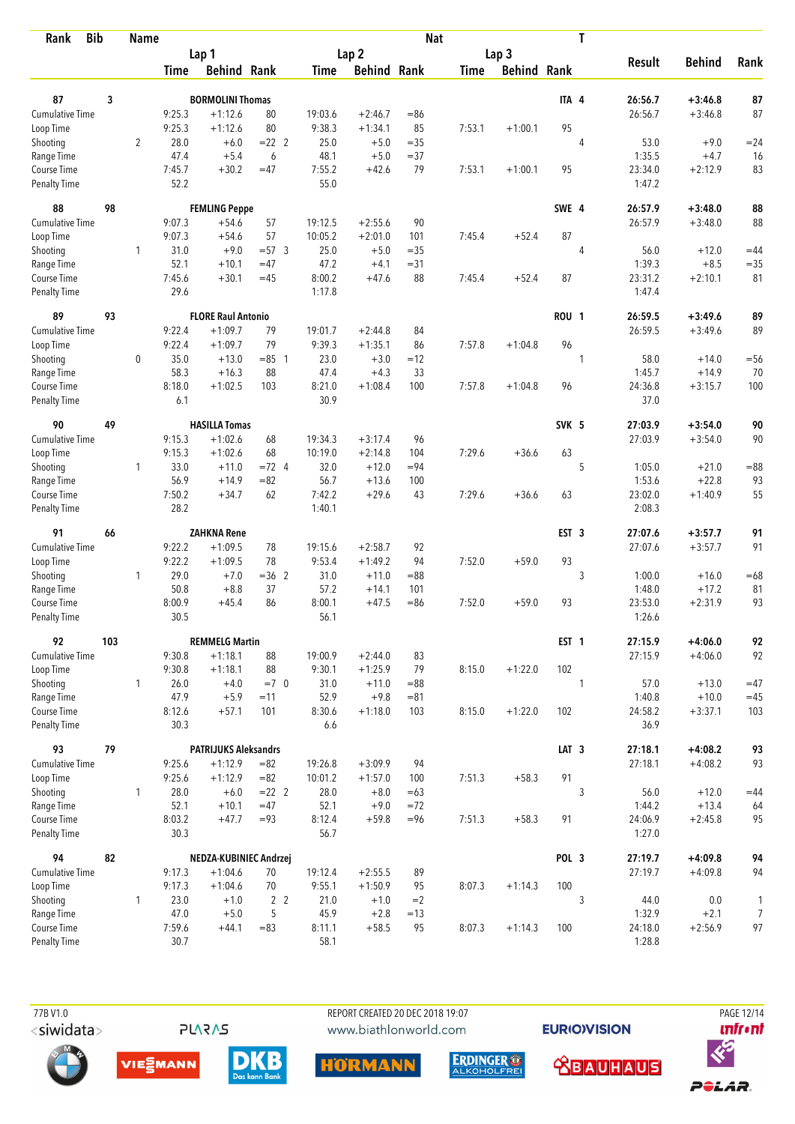| Rank                               | <b>Bib</b> | <b>Name</b>    |                |                             |                |                |                    | <b>Nat</b> |             |                    |                  | T |                   |                     |                |
|------------------------------------|------------|----------------|----------------|-----------------------------|----------------|----------------|--------------------|------------|-------------|--------------------|------------------|---|-------------------|---------------------|----------------|
|                                    |            |                |                | Lap 1                       |                |                | Lap <sub>2</sub>   |            |             | Lap <sub>3</sub>   |                  |   |                   |                     |                |
|                                    |            |                | Time           | <b>Behind Rank</b>          |                | Time           | <b>Behind Rank</b> |            | <b>Time</b> | <b>Behind Rank</b> |                  |   | <b>Result</b>     | <b>Behind</b>       | Rank           |
| 87                                 | 3          |                |                | <b>BORMOLINI Thomas</b>     |                |                |                    |            |             |                    | ITA 4            |   | 26:56.7           | $+3:46.8$           | 87             |
| Cumulative Time                    |            |                | 9:25.3         | $+1:12.6$                   | 80             | 19:03.6        | $+2:46.7$          | $=86$      |             |                    |                  |   | 26:56.7           | $+3:46.8$           | 87             |
|                                    |            |                | 9:25.3         | $+1:12.6$                   | 80             | 9:38.3         | $+1:34.1$          | 85         | 7:53.1      | $+1:00.1$          | 95               |   |                   |                     |                |
| Loop Time                          |            |                | 28.0           |                             | $= 22$ 2       | 25.0           | $+5.0$             | $=35$      |             |                    |                  |   | 53.0              | $+9.0$              | $= 24$         |
| Shooting                           |            | $\overline{2}$ | 47.4           | $+6.0$<br>$+5.4$            |                | 48.1           |                    | $= 37$     |             |                    |                  | 4 | 1:35.5            |                     |                |
| Range Time<br>Course Time          |            |                | 7:45.7         | $+30.2$                     | 6<br>$=47$     | 7:55.2         | $+5.0$<br>$+42.6$  | 79         | 7:53.1      | $+1:00.1$          | 95               |   | 23:34.0           | $+4.7$<br>$+2:12.9$ | 16<br>83       |
| <b>Penalty Time</b>                |            |                | 52.2           |                             |                | 55.0           |                    |            |             |                    |                  |   | 1:47.2            |                     |                |
| 88                                 | 98         |                |                | <b>FEMLING Peppe</b>        |                |                |                    |            |             |                    | SWE 4            |   | 26:57.9           | $+3:48.0$           | 88             |
| <b>Cumulative Time</b>             |            |                | 9:07.3         | $+54.6$                     | 57             | 19:12.5        | $+2:55.6$          | 90         |             |                    |                  |   | 26:57.9           | $+3:48.0$           | 88             |
| Loop Time                          |            |                | 9:07.3         | $+54.6$                     | 57             | 10:05.2        | $+2:01.0$          | 101        | 7:45.4      | $+52.4$            | 87               |   |                   |                     |                |
| Shooting                           |            | $\mathbf{1}$   | 31.0           | $+9.0$                      | $= 57.3$       | 25.0           | $+5.0$             | $= 35$     |             |                    |                  | 4 | 56.0              | $+12.0$             | $=44$          |
| Range Time                         |            |                | 52.1           | $+10.1$                     | $=47$          | 47.2           | $+4.1$             | $= 31$     |             |                    |                  |   | 1:39.3            | $+8.5$              | $=35$          |
| Course Time                        |            |                | 7:45.6         | $+30.1$                     | $=45$          | 8:00.2         | $+47.6$            | 88         | 7:45.4      | $+52.4$            | 87               |   | 23:31.2           | $+2:10.1$           | 81             |
| Penalty Time                       |            |                | 29.6           |                             |                | 1:17.8         |                    |            |             |                    |                  |   | 1:47.4            |                     |                |
| 89                                 | 93         |                |                | <b>FLORE Raul Antonio</b>   |                |                |                    |            |             |                    | <b>ROU 1</b>     |   | 26:59.5           | $+3:49.6$           | 89             |
| Cumulative Time                    |            |                | 9:22.4         | $+1:09.7$                   | 79             | 19:01.7        | $+2:44.8$          | 84         |             |                    |                  |   | 26:59.5           | $+3:49.6$           | 89             |
| Loop Time                          |            |                | 9:22.4         | $+1:09.7$                   | 79             | 9:39.3         | $+1:35.1$          | 86         | 7:57.8      | $+1:04.8$          | 96               |   |                   |                     |                |
| Shooting                           |            | 0              | 35.0           | $+13.0$                     | $= 85$ 1       | 23.0           | $+3.0$             | $=12$      |             |                    |                  | 1 | 58.0              | $+14.0$             | $=$ 56         |
| Range Time                         |            |                | 58.3           | $+16.3$                     | 88             | 47.4           | $+4.3$             | 33         |             |                    |                  |   | 1:45.7            | $+14.9$             | 70             |
| Course Time                        |            |                | 8:18.0         | $+1:02.5$                   | 103            | 8:21.0         | $+1:08.4$          | 100        | 7:57.8      | $+1:04.8$          | 96               |   | 24:36.8           | $+3:15.7$           | 100            |
| <b>Penalty Time</b>                |            |                | 6.1            |                             |                | 30.9           |                    |            |             |                    |                  |   | 37.0              |                     |                |
| 90                                 | 49         |                |                | <b>HASILLA Tomas</b>        |                |                |                    |            |             |                    | SVK 5            |   | 27:03.9           | $+3:54.0$           | 90             |
| Cumulative Time                    |            |                | 9:15.3         | $+1:02.6$                   | 68             | 19:34.3        | $+3:17.4$          | 96         |             |                    |                  |   | 27:03.9           | $+3:54.0$           | 90             |
| Loop Time                          |            |                | 9:15.3         | $+1:02.6$                   | 68             | 10:19.0        | $+2:14.8$          | 104        | 7:29.6      | $+36.6$            | 63               |   |                   |                     |                |
| Shooting                           |            | $\mathbf{1}$   | 33.0           | $+11.0$                     | $=72$ 4        | 32.0           | $+12.0$            | $= 94$     |             |                    |                  | 5 | 1:05.0            | $+21.0$             | $= 88$         |
| Range Time                         |            |                | 56.9           | $+14.9$                     | $= 82$         | 56.7           | $+13.6$            | 100        |             |                    |                  |   | 1:53.6            | $+22.8$             | 93             |
| Course Time                        |            |                | 7:50.2         | $+34.7$                     | 62             | 7:42.2         | $+29.6$            | 43         | 7:29.6      | $+36.6$            | 63               |   | 23:02.0           | $+1:40.9$           | 55             |
| <b>Penalty Time</b>                |            |                | 28.2           |                             |                | 1:40.1         |                    |            |             |                    |                  |   | 2:08.3            |                     |                |
| 91                                 | 66         |                |                | <b>ZAHKNA Rene</b>          |                |                |                    |            |             |                    | EST <sub>3</sub> |   | 27:07.6           | $+3:57.7$           | 91             |
| Cumulative Time                    |            |                | 9:22.2         | $+1:09.5$                   | 78             | 19:15.6        | $+2:58.7$          | 92         |             |                    |                  |   | 27:07.6           | $+3:57.7$           | 91             |
| Loop Time                          |            |                | 9:22.2         | $+1:09.5$                   | 78             | 9:53.4         | $+1:49.2$          | 94         | 7:52.0      | $+59.0$            | 93               |   |                   |                     |                |
| Shooting                           |            | 1              | 29.0           | $+7.0$                      | $=36$ 2        | 31.0           | $+11.0$            | $= 88$     |             |                    |                  | 3 | 1:00.0            | $+16.0$             | $=68$          |
| Range Time                         |            |                | 50.8           | $+8.8$                      | 37             | 57.2           | $+14.1$            | 101        |             |                    |                  |   | 1:48.0            | $+17.2$             | 81             |
| Course Time                        |            |                | 8:00.9         | $+45.4$                     | 86             | 8:00.1         | $+47.5$            | $= 86$     | 7:52.0      | $+59.0$            | 93               |   | 23:53.0           | $+2:31.9$           | 93             |
| <b>Penalty Time</b>                |            |                | 30.5           |                             |                | 56.1           |                    |            |             |                    |                  |   | 1:26.6            |                     |                |
| 92                                 | 103        |                |                | <b>REMMELG Martin</b>       |                |                |                    |            |             |                    | EST <sub>1</sub> |   | 27:15.9           | $+4:06.0$           | 92             |
| <b>Cumulative Time</b>             |            |                | 9:30.8         | $+1:18.1$                   | 88             | 19:00.9        | $+2:44.0$          | 83         |             |                    |                  |   | 27:15.9           | $+4:06.0$           | 92             |
| Loop Time                          |            |                | 9:30.8         | $+1:18.1$                   | 88             | 9:30.1         | $+1:25.9$          | 79         | 8:15.0      | $+1:22.0$          | 102              |   |                   |                     |                |
| Shooting                           |            | $\mathbf{1}$   | 26.0           | $+4.0$                      | $=7$ 0         | 31.0           | $+11.0$            | $= 88$     |             |                    |                  | 1 | 57.0              | $+13.0$             | $=47$          |
| Range Time                         |            |                | 47.9           | $+5.9$                      | $=11$          | 52.9           | $+9.8$             | $= 81$     |             |                    |                  |   | 1:40.8            | $+10.0$             | $=45$          |
| Course Time<br>Penalty Time        |            |                | 8:12.6<br>30.3 | $+57.1$                     | 101            | 8:30.6<br>6.6  | $+1:18.0$          | 103        | 8:15.0      | $+1:22.0$          | 102              |   | 24:58.2<br>36.9   | $+3:37.1$           | 103            |
|                                    |            |                |                |                             |                |                |                    |            |             |                    |                  |   |                   |                     |                |
| 93                                 | 79         |                |                | <b>PATRIJUKS Aleksandrs</b> |                |                |                    |            |             |                    | LAT <sub>3</sub> |   | 27:18.1           | $+4:08.2$           | 93             |
| <b>Cumulative Time</b>             |            |                | 9:25.6         | $+1:12.9$                   | $= 82$         | 19:26.8        | $+3:09.9$          | 94         |             |                    |                  |   | 27:18.1           | $+4:08.2$           | 93             |
| Loop Time                          |            |                | 9:25.6         | $+1:12.9$                   | $= 82$         | 10:01.2        | $+1:57.0$          | 100        | 7:51.3      | $+58.3$            | 91               |   |                   |                     |                |
| Shooting                           |            | 1              | 28.0           | $+6.0$                      | $= 22$ 2       | 28.0           | $+8.0$             | $=63$      |             |                    |                  | 3 | 56.0              | $+12.0$             | $=44$          |
| Range Time                         |            |                | 52.1           | $+10.1$                     | $=47$          | 52.1           | $+9.0$             | $= 72$     |             |                    |                  |   | 1:44.2            | $+13.4$             | 64             |
| Course Time<br><b>Penalty Time</b> |            |                | 8:03.2<br>30.3 | $+47.7$                     | $= 93$         | 8:12.4<br>56.7 | $+59.8$            | $= 96$     | 7:51.3      | $+58.3$            | 91               |   | 24:06.9<br>1:27.0 | $+2:45.8$           | 95             |
| 94                                 | 82         |                |                | NEDZA-KUBINIEC Andrzej      |                |                |                    |            |             |                    | POL 3            |   | 27:19.7           | $+4:09.8$           | 94             |
| <b>Cumulative Time</b>             |            |                | 9:17.3         | $+1:04.6$                   | 70             | 19:12.4        | $+2:55.5$          | 89         |             |                    |                  |   | 27:19.7           | $+4:09.8$           | 94             |
| Loop Time                          |            |                | 9:17.3         | $+1:04.6$                   | 70             | 9:55.1         | $+1:50.9$          | 95         | 8:07.3      | $+1:14.3$          | 100              |   |                   |                     |                |
| Shooting                           |            | $\mathbf{1}$   | 23.0           | $+1.0$                      | 2 <sub>2</sub> | 21.0           | $+1.0$             | $=2$       |             |                    |                  | 3 | 44.0              | $0.0\,$             | 1              |
| Range Time                         |            |                | 47.0           | $+5.0$                      | 5              | 45.9           | $+2.8$             | $=13$      |             |                    |                  |   | 1:32.9            | $+2.1$              | $\overline{7}$ |
| Course Time                        |            |                | 7:59.6         | $+44.1$                     | $= 83$         | 8:11.1         | $+58.5$            | 95         | 8:07.3      | $+1:14.3$          | 100              |   | 24:18.0           | $+2:56.9$           | 97             |
| <b>Penalty Time</b>                |            |                | 30.7           |                             |                | 58.1           |                    |            |             |                    |                  |   | 1:28.8            |                     |                |

**PLARAS** 

 77B V1.0 REPORT CREATED 20 DEC 2018 19:07 PAGE 12/14www.biathlonworld.com

**EURIOVISION** 











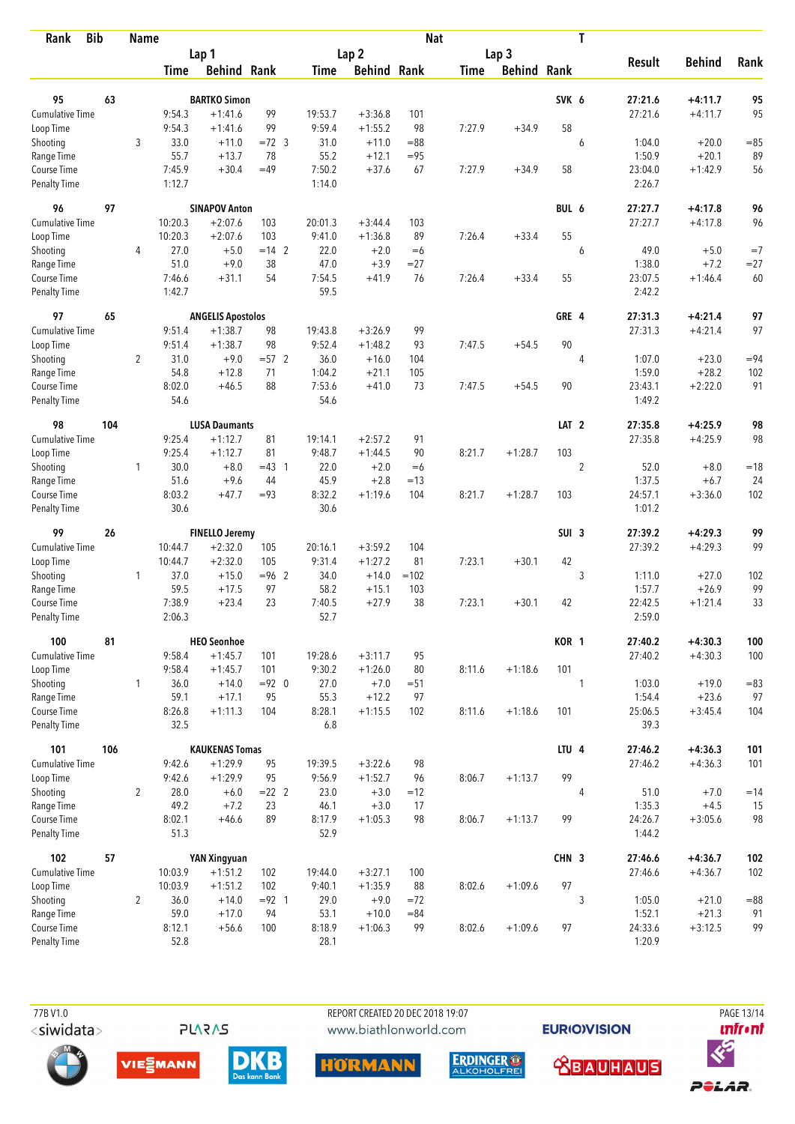| <b>Bib</b><br>Rank          |     | <b>Name</b>    |                |                          |          |                  |                    | <b>Nat</b> |             |                    |                  | T              |                   |               |        |
|-----------------------------|-----|----------------|----------------|--------------------------|----------|------------------|--------------------|------------|-------------|--------------------|------------------|----------------|-------------------|---------------|--------|
|                             |     |                |                | Lap 1                    |          | Lap <sub>2</sub> |                    |            |             | Lap <sub>3</sub>   |                  |                |                   |               |        |
|                             |     |                | Time           | <b>Behind Rank</b>       |          | Time             | <b>Behind Rank</b> |            | <b>Time</b> | <b>Behind Rank</b> |                  |                | <b>Result</b>     | <b>Behind</b> | Rank   |
| 95                          | 63  |                |                | <b>BARTKO Simon</b>      |          |                  |                    |            |             |                    | SVK 6            |                | 27:21.6           | $+4:11.7$     | 95     |
| <b>Cumulative Time</b>      |     |                | 9:54.3         | $+1:41.6$                | 99       | 19:53.7          | $+3:36.8$          | 101        |             |                    |                  |                | 27:21.6           | $+4:11.7$     | 95     |
| Loop Time                   |     |                | 9:54.3         | $+1:41.6$                | 99       | 9:59.4           | $+1:55.2$          | 98         | 7:27.9      | $+34.9$            | 58               |                |                   |               |        |
| Shooting                    |     | 3              | 33.0           | $+11.0$                  | $=72$ 3  | 31.0             | $+11.0$            | $= 88$     |             |                    |                  | 6              | 1:04.0            | $+20.0$       | $= 85$ |
| Range Time                  |     |                | 55.7           | $+13.7$                  | 78       | 55.2             | $+12.1$            | $= 95$     |             |                    |                  |                | 1:50.9            | $+20.1$       | 89     |
| Course Time                 |     |                | 7:45.9         | $+30.4$                  | $=49$    | 7:50.2           | $+37.6$            | 67         | 7:27.9      | $+34.9$            | 58               |                | 23:04.0           | $+1:42.9$     | 56     |
| <b>Penalty Time</b>         |     |                | 1:12.7         |                          |          | 1:14.0           |                    |            |             |                    |                  |                | 2:26.7            |               |        |
| 96                          | 97  |                |                | <b>SINAPOV Anton</b>     |          |                  |                    |            |             |                    | BUL 6            |                | 27:27.7           | $+4:17.8$     | 96     |
| Cumulative Time             |     |                | 10:20.3        | $+2:07.6$                | 103      | 20:01.3          | $+3:44.4$          | 103        |             |                    |                  |                | 27:27.7           | $+4:17.8$     | 96     |
| Loop Time                   |     |                | 10:20.3        | $+2:07.6$                | 103      | 9:41.0           | $+1:36.8$          | 89         | 7:26.4      | $+33.4$            | 55               |                |                   |               |        |
| Shooting                    |     | 4              | 27.0           | $+5.0$                   | $= 14$ 2 | 22.0             | $+2.0$             | $=6$       |             |                    |                  | 6              | 49.0              | $+5.0$        | $=7$   |
| Range Time                  |     |                | 51.0           | $+9.0$                   | 38       | 47.0             | $+3.9$             | $= 27$     |             |                    |                  |                | 1:38.0            | $+7.2$        | $= 27$ |
| Course Time                 |     |                | 7:46.6         | $+31.1$                  | 54       | 7:54.5           | $+41.9$            | 76         | 7:26.4      | $+33.4$            | 55               |                | 23:07.5           | $+1:46.4$     | 60     |
| <b>Penalty Time</b>         |     |                | 1:42.7         |                          |          | 59.5             |                    |            |             |                    |                  |                | 2:42.2            |               |        |
| 97                          | 65  |                |                | <b>ANGELIS Apostolos</b> |          |                  |                    |            |             |                    | GRE 4            |                | 27:31.3           | $+4:21.4$     | 97     |
| <b>Cumulative Time</b>      |     |                | 9:51.4         | $+1:38.7$                | 98       | 19:43.8          | $+3:26.9$          | 99         |             |                    |                  |                | 27:31.3           | $+4:21.4$     | 97     |
| Loop Time                   |     |                | 9:51.4         | $+1:38.7$                | 98       | 9:52.4           | $+1:48.2$          | 93         | 7:47.5      | $+54.5$            | 90               |                |                   |               |        |
| Shooting                    |     | $\overline{2}$ | 31.0           | $+9.0$                   | $=57$ 2  | 36.0             | $+16.0$            | 104        |             |                    |                  | $\overline{4}$ | 1:07.0            | $+23.0$       | $= 94$ |
| Range Time                  |     |                | 54.8           | $+12.8$                  | 71       | 1:04.2           | $+21.1$            | 105        |             |                    |                  |                | 1:59.0            | $+28.2$       | 102    |
| Course Time<br>Penalty Time |     |                | 8:02.0<br>54.6 | $+46.5$                  | 88       | 7:53.6<br>54.6   | $+41.0$            | 73         | 7:47.5      | $+54.5$            | 90               |                | 23:43.1<br>1:49.2 | $+2:22.0$     | 91     |
| 98                          | 104 |                |                | <b>LUSA Daumants</b>     |          |                  |                    |            |             |                    | LAT <sub>2</sub> |                | 27:35.8           | $+4:25.9$     | 98     |
| <b>Cumulative Time</b>      |     |                | 9:25.4         | $+1:12.7$                | 81       | 19:14.1          | $+2:57.2$          | 91         |             |                    |                  |                | 27:35.8           | $+4:25.9$     | 98     |
| Loop Time                   |     |                | 9:25.4         | $+1:12.7$                | 81       | 9:48.7           | $+1:44.5$          | 90         | 8:21.7      | $+1:28.7$          | 103              |                |                   |               |        |
| Shooting                    |     | $\mathbf{1}$   | 30.0           | $+8.0$                   | $=43$ 1  | 22.0             | $+2.0$             | $=6$       |             |                    |                  | $\overline{2}$ | 52.0              | $+8.0$        | $=18$  |
| Range Time                  |     |                | 51.6           | $+9.6$                   | 44       | 45.9             | $+2.8$             | $=13$      |             |                    |                  |                | 1:37.5            | $+6.7$        | 24     |
| Course Time                 |     |                | 8:03.2         | $+47.7$                  | $= 93$   | 8:32.2           | $+1:19.6$          | 104        | 8:21.7      | $+1:28.7$          | 103              |                | 24:57.1           | $+3:36.0$     | 102    |
| <b>Penalty Time</b>         |     |                | 30.6           |                          |          | 30.6             |                    |            |             |                    |                  |                | 1:01.2            |               |        |
| 99                          | 26  |                |                | <b>FINELLO Jeremy</b>    |          |                  |                    |            |             |                    | SUI <sub>3</sub> |                | 27:39.2           | $+4:29.3$     | 99     |
| Cumulative Time             |     |                | 10:44.7        | $+2:32.0$                | 105      | 20:16.1          | $+3:59.2$          | 104        |             |                    |                  |                | 27:39.2           | $+4:29.3$     | 99     |
| Loop Time                   |     |                | 10:44.7        | $+2:32.0$                | 105      | 9:31.4           | $+1:27.2$          | 81         | 7:23.1      | $+30.1$            | 42               |                |                   |               |        |
| Shooting                    |     | $\mathbf{1}$   | 37.0           | $+15.0$                  | $= 96$ 2 | 34.0             | $+14.0$            | $=102$     |             |                    |                  | 3              | 1:11.0            | $+27.0$       | 102    |
| Range Time                  |     |                | 59.5           | $+17.5$                  | 97       | 58.2             | $+15.1$            | 103        |             |                    |                  |                | 1:57.7            | $+26.9$       | 99     |
| Course Time                 |     |                | 7:38.9         | $+23.4$                  | 23       | 7:40.5           | $+27.9$            | 38         | 7:23.1      | $+30.1$            | 42               |                | 22:42.5           | $+1:21.4$     | 33     |
| Penalty Time                |     |                | 2:06.3         |                          |          | 52.7             |                    |            |             |                    |                  |                | 2:59.0            |               |        |
| 100                         | 81  |                |                | <b>HEO Seonhoe</b>       |          |                  |                    |            |             |                    | KOR 1            |                | 27:40.2           | $+4:30.3$     | 100    |
| <b>Cumulative Time</b>      |     |                | 9:58.4         | $+1:45.7$                | 101      | 19:28.6          | $+3:11.7$          | 95         |             |                    |                  |                | 27:40.2           | $+4:30.3$     | 100    |
| Loop Time                   |     |                | 9:58.4         | $+1:45.7$                | 101      | 9:30.2           | $+1:26.0$          | 80         | 8:11.6      | $+1:18.6$          | 101              |                |                   |               |        |
| Shooting                    |     | $\mathbf{1}$   | 36.0           | $+14.0$                  | $= 92$ 0 | 27.0             | $+7.0$             | $= 51$     |             |                    |                  | 1              | 1:03.0            | $+19.0$       | $= 83$ |
| Range Time                  |     |                | 59.1           | $+17.1$                  | 95       | 55.3             | $+12.2$            | 97         |             |                    |                  |                | 1:54.4            | $+23.6$       | 97     |
| Course Time<br>Penalty Time |     |                | 8:26.8<br>32.5 | $+1:11.3$                | 104      | 8:28.1<br>6.8    | $+1:15.5$          | 102        | 8:11.6      | $+1:18.6$          | 101              |                | 25:06.5<br>39.3   | $+3:45.4$     | 104    |
| 101                         | 106 |                |                | <b>KAUKENAS Tomas</b>    |          |                  |                    |            |             |                    | LTU 4            |                | 27:46.2           | $+4:36.3$     | 101    |
| Cumulative Time             |     |                | 9:42.6         | $+1:29.9$                | 95       | 19:39.5          | $+3:22.6$          | 98         |             |                    |                  |                | 27:46.2           | $+4:36.3$     | 101    |
| Loop Time                   |     |                | 9:42.6         | $+1:29.9$                | 95       | 9:56.9           | $+1:52.7$          | 96         | 8:06.7      | $+1:13.7$          | 99               |                |                   |               |        |
| Shooting                    |     | $\overline{2}$ | 28.0           | $+6.0$                   | $= 22$ 2 | 23.0             | $+3.0$             | $=12$      |             |                    |                  | 4              | 51.0              | $+7.0$        | $=14$  |
| Range Time                  |     |                | 49.2           | $+7.2$                   | 23       | 46.1             | $+3.0$             | 17         |             |                    |                  |                | 1:35.3            | $+4.5$        | 15     |
| Course Time                 |     |                | 8:02.1         | $+46.6$                  | 89       | 8:17.9           | $+1:05.3$          | 98         | 8:06.7      | $+1:13.7$          | 99               |                | 24:26.7           | $+3:05.6$     | 98     |
| Penalty Time                |     |                | 51.3           |                          |          | 52.9             |                    |            |             |                    |                  |                | 1:44.2            |               |        |
| 102                         | 57  |                |                | <b>YAN Xingyuan</b>      |          |                  |                    |            |             |                    | CHN 3            |                | 27:46.6           | $+4:36.7$     | 102    |
| Cumulative Time             |     |                | 10:03.9        | $+1:51.2$                | 102      | 19:44.0          | $+3:27.1$          | 100        |             |                    |                  |                | 27:46.6           | $+4:36.7$     | 102    |
| Loop Time                   |     |                | 10:03.9        | $+1:51.2$                | 102      | 9:40.1           | $+1:35.9$          | 88         | 8:02.6      | $+1:09.6$          | 97               |                |                   |               |        |
| Shooting                    |     | $\overline{2}$ | 36.0           | $+14.0$                  | $= 92$ 1 | 29.0             | $+9.0$             | $=72$      |             |                    |                  | 3              | 1:05.0            | $+21.0$       | $= 88$ |
| Range Time                  |     |                | 59.0           | $+17.0$                  | 94       | 53.1             | $+10.0$            | $= 84$     |             |                    |                  |                | 1:52.1            | $+21.3$       | 91     |
| Course Time                 |     |                | 8:12.1         | $+56.6$                  | 100      | 8:18.9           | $+1:06.3$          | 99         | 8:02.6      | $+1:09.6$          | 97               |                | 24:33.6           | $+3:12.5$     | 99     |
| Penalty Time                |     |                | 52.8           |                          |          | 28.1             |                    |            |             |                    |                  |                | 1:20.9            |               |        |

REPORT CREATED 20 DEC 2018 19:07 www.biathlonworld.com

**EURIOVISION** 





**PLARAS** 









POLAR.